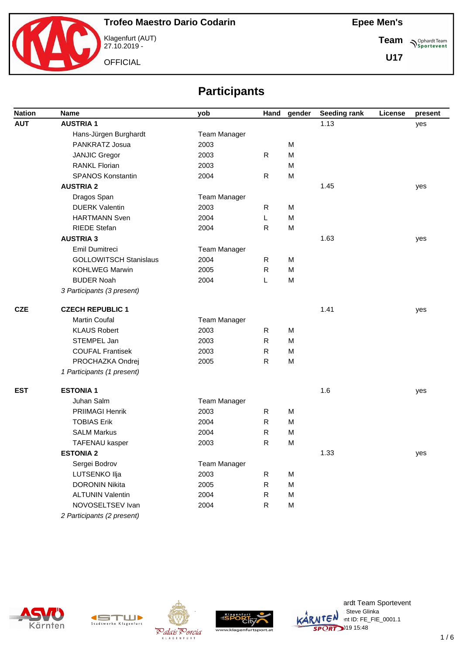

Klagenfurt (AUT) 27.10.2019 -

**OFFICIAL** 

**Team Sportevent** 

**U17**

# **Participants**

| <b>Nation</b> | Name                          | yob          | Hand         | gender | <b>Seeding rank</b> | License | present |
|---------------|-------------------------------|--------------|--------------|--------|---------------------|---------|---------|
| <b>AUT</b>    | <b>AUSTRIA1</b>               |              |              |        | 1.13                |         | yes     |
|               | Hans-Jürgen Burghardt         | Team Manager |              |        |                     |         |         |
|               | PANKRATZ Josua                | 2003         |              | M      |                     |         |         |
|               | <b>JANJIC Gregor</b>          | 2003         | R            | M      |                     |         |         |
|               | <b>RANKL Florian</b>          | 2003         |              | M      |                     |         |         |
|               | <b>SPANOS Konstantin</b>      | 2004         | R            | M      |                     |         |         |
|               | <b>AUSTRIA 2</b>              |              |              |        | 1.45                |         | yes     |
|               | Dragos Span                   | Team Manager |              |        |                     |         |         |
|               | <b>DUERK Valentin</b>         | 2003         | R            | M      |                     |         |         |
|               | <b>HARTMANN Sven</b>          | 2004         | L            | M      |                     |         |         |
|               | <b>RIEDE Stefan</b>           | 2004         | $\mathsf{R}$ | M      |                     |         |         |
|               | <b>AUSTRIA 3</b>              |              |              |        | 1.63                |         | yes     |
|               | Emil Dumitreci                | Team Manager |              |        |                     |         |         |
|               | <b>GOLLOWITSCH Stanislaus</b> | 2004         | R            | M      |                     |         |         |
|               | <b>KOHLWEG Marwin</b>         | 2005         | $\mathsf{R}$ | M      |                     |         |         |
|               | <b>BUDER Noah</b>             | 2004         | L            | M      |                     |         |         |
|               | 3 Participants (3 present)    |              |              |        |                     |         |         |
| <b>CZE</b>    | <b>CZECH REPUBLIC 1</b>       |              |              |        | 1.41                |         | yes     |
|               | <b>Martin Coufal</b>          | Team Manager |              |        |                     |         |         |
|               | <b>KLAUS Robert</b>           | 2003         | R            | M      |                     |         |         |
|               | STEMPEL Jan                   | 2003         | ${\sf R}$    | M      |                     |         |         |
|               | <b>COUFAL Frantisek</b>       | 2003         | $\mathsf{R}$ | M      |                     |         |         |
|               | PROCHAZKA Ondrej              | 2005         | ${\sf R}$    | M      |                     |         |         |
|               | 1 Participants (1 present)    |              |              |        |                     |         |         |
| <b>EST</b>    | <b>ESTONIA1</b>               |              |              |        | 1.6                 |         | yes     |
|               | Juhan Salm                    | Team Manager |              |        |                     |         |         |
|               | PRIIMAGI Henrik               | 2003         | R            | M      |                     |         |         |
|               | <b>TOBIAS Erik</b>            | 2004         | $\mathsf{R}$ | M      |                     |         |         |
|               | <b>SALM Markus</b>            | 2004         | R            | M      |                     |         |         |
|               | TAFENAU kasper                | 2003         | $\mathsf{R}$ | M      |                     |         |         |
|               | <b>ESTONIA 2</b>              |              |              |        | 1.33                |         | yes     |
|               | Sergei Bodrov                 | Team Manager |              |        |                     |         |         |
|               | LUTSENKO Ilja                 | 2003         | $\mathsf{R}$ | M      |                     |         |         |
|               | <b>DORONIN Nikita</b>         | 2005         | ${\sf R}$    | M      |                     |         |         |
|               | <b>ALTUNIN Valentin</b>       | 2004         | ${\sf R}$    | M      |                     |         |         |
|               | NOVOSELTSEV Ivan              | 2004         | ${\sf R}$    | M      |                     |         |         |
|               | 2 Participants (2 present)    |              |              |        |                     |         |         |









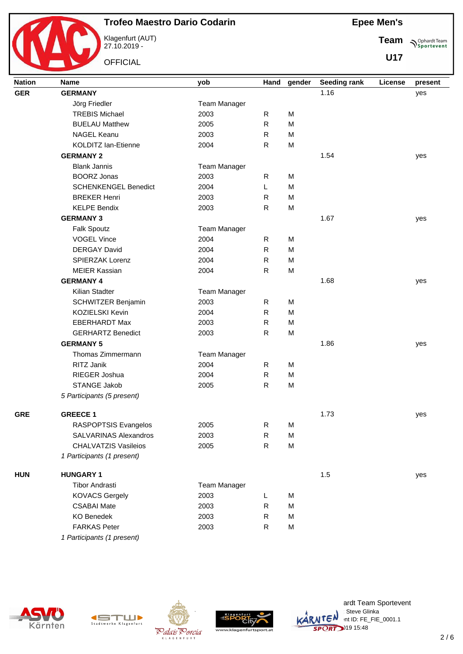

Klagenfurt (AUT) 27.10.2019 -

**OFFICIAL** 

| <b>Epee Men's</b> |
|-------------------|
|-------------------|

**Team Sportevent** 

| <b>Nation</b> | <b>Name</b>                  | yob                 | Hand         | gender | <b>Seeding rank</b> | License | present |
|---------------|------------------------------|---------------------|--------------|--------|---------------------|---------|---------|
| <b>GER</b>    | <b>GERMANY</b>               |                     |              |        | 1.16                |         | yes     |
|               | Jörg Friedler                | <b>Team Manager</b> |              |        |                     |         |         |
|               | <b>TREBIS Michael</b>        | 2003                | $\mathsf{R}$ | M      |                     |         |         |
|               | <b>BUELAU Matthew</b>        | 2005                | $\mathsf{R}$ | M      |                     |         |         |
|               | <b>NAGEL Keanu</b>           | 2003                | $\mathsf{R}$ | M      |                     |         |         |
|               | <b>KOLDITZ lan-Etienne</b>   | 2004                | $\mathsf{R}$ | M      |                     |         |         |
|               | <b>GERMANY 2</b>             |                     |              |        | 1.54                |         | yes     |
|               | <b>Blank Jannis</b>          | Team Manager        |              |        |                     |         |         |
|               | <b>BOORZ Jonas</b>           | 2003                | R            | M      |                     |         |         |
|               | <b>SCHENKENGEL Benedict</b>  | 2004                | Г            | M      |                     |         |         |
|               | <b>BREKER Henri</b>          | 2003                | R            | M      |                     |         |         |
|               | <b>KELPE Bendix</b>          | 2003                | ${\sf R}$    | M      |                     |         |         |
|               | <b>GERMANY 3</b>             |                     |              |        | 1.67                |         | yes     |
|               | <b>Falk Spoutz</b>           | <b>Team Manager</b> |              |        |                     |         |         |
|               | <b>VOGEL Vince</b>           | 2004                | $\mathsf{R}$ | M      |                     |         |         |
|               | <b>DERGAY David</b>          | 2004                | ${\sf R}$    | M      |                     |         |         |
|               | SPIERZAK Lorenz              | 2004                | $\mathsf{R}$ | M      |                     |         |         |
|               | <b>MEIER Kassian</b>         | 2004                | $\mathsf{R}$ | M      |                     |         |         |
|               | <b>GERMANY 4</b>             |                     |              |        | 1.68                |         | yes     |
|               | Kilian Stadter               | Team Manager        |              |        |                     |         |         |
|               | SCHWITZER Benjamin           | 2003                | R            | M      |                     |         |         |
|               | KOZIELSKI Kevin              | 2004                | $\mathsf{R}$ | M      |                     |         |         |
|               | <b>EBERHARDT Max</b>         | 2003                | ${\sf R}$    | M      |                     |         |         |
|               | <b>GERHARTZ Benedict</b>     | 2003                | $\mathsf{R}$ | M      |                     |         |         |
|               | <b>GERMANY 5</b>             |                     |              |        | 1.86                |         | yes     |
|               | Thomas Zimmermann            | Team Manager        |              |        |                     |         |         |
|               | RITZ Janik                   | 2004                | $\mathsf{R}$ | M      |                     |         |         |
|               | RIEGER Joshua                | 2004                | ${\sf R}$    | M      |                     |         |         |
|               | STANGE Jakob                 | 2005                | ${\sf R}$    | M      |                     |         |         |
|               | 5 Participants (5 present)   |                     |              |        |                     |         |         |
|               |                              |                     |              |        |                     |         |         |
| <b>GRE</b>    | <b>GREECE 1</b>              |                     |              |        | 1.73                |         | yes     |
|               | RASPOPTSIS Evangelos         | 2005                | ${\sf R}$    | M      |                     |         |         |
|               | <b>SALVARINAS Alexandros</b> | 2003                | ${\sf R}$    | M      |                     |         |         |
|               | <b>CHALVATZIS Vasileios</b>  | 2005                | $\mathsf{R}$ | M      |                     |         |         |
|               | 1 Participants (1 present)   |                     |              |        |                     |         |         |
| <b>HUN</b>    | <b>HUNGARY 1</b>             |                     |              |        | 1.5                 |         | yes     |
|               | <b>Tibor Andrasti</b>        | <b>Team Manager</b> |              |        |                     |         |         |
|               | <b>KOVACS Gergely</b>        | 2003                | L            | M      |                     |         |         |
|               | <b>CSABAI Mate</b>           | 2003                | $\mathsf{R}$ | M      |                     |         |         |
|               | <b>KO Benedek</b>            | 2003                | $\mathsf{R}$ | M      |                     |         |         |
|               | <b>FARKAS Peter</b>          | 2003                | $\mathsf{R}$ | M      |                     |         |         |
|               | 1 Participants (1 present)   |                     |              |        |                     |         |         |









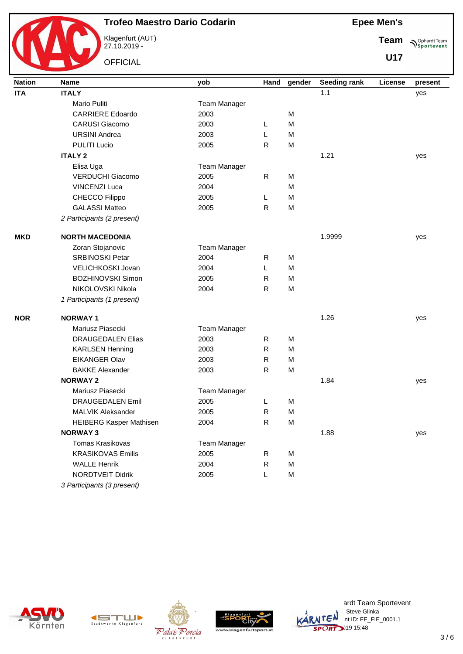

Klagenfurt (AUT) 27.10.2019 -

**OFFICIAL** 

**Epee Men's**

**Team Sportevent** 

**U17**

| <b>Nation</b> | <b>Name</b>                    | yob                 | Hand         | gender | Seeding rank | License | present |
|---------------|--------------------------------|---------------------|--------------|--------|--------------|---------|---------|
| <b>ITA</b>    | <b>ITALY</b>                   |                     |              |        | 1.1          |         | yes     |
|               | Mario Puliti                   | <b>Team Manager</b> |              |        |              |         |         |
|               | <b>CARRIERE Edoardo</b>        | 2003                |              | M      |              |         |         |
|               | <b>CARUSI Giacomo</b>          | 2003                | L            | M      |              |         |         |
|               | <b>URSINI Andrea</b>           | 2003                | L            | M      |              |         |         |
|               | <b>PULITI Lucio</b>            | 2005                | $\mathsf{R}$ | M      |              |         |         |
|               | <b>ITALY 2</b>                 |                     |              |        | 1.21         |         | yes     |
|               | Elisa Uga                      | Team Manager        |              |        |              |         |         |
|               | <b>VERDUCHI Giacomo</b>        | 2005                | $\mathsf{R}$ | M      |              |         |         |
|               | <b>VINCENZI Luca</b>           | 2004                |              | M      |              |         |         |
|               | CHECCO Filippo                 | 2005                | L            | M      |              |         |         |
|               | <b>GALASSI Matteo</b>          | 2005                | $\mathsf{R}$ | M      |              |         |         |
|               | 2 Participants (2 present)     |                     |              |        |              |         |         |
| <b>MKD</b>    | <b>NORTH MACEDONIA</b>         |                     |              |        | 1.9999       |         | yes     |
|               | Zoran Stojanovic               | Team Manager        |              |        |              |         |         |
|               | <b>SRBINOSKI Petar</b>         | 2004                | R            | M      |              |         |         |
|               | VELICHKOSKI Jovan              | 2004                | L            | M      |              |         |         |
|               | <b>BOZHINOVSKI Simon</b>       | 2005                | $\mathsf{R}$ | M      |              |         |         |
|               | NIKOLOVSKI Nikola              | 2004                | $\mathsf{R}$ | M      |              |         |         |
|               | 1 Participants (1 present)     |                     |              |        |              |         |         |
| <b>NOR</b>    | <b>NORWAY1</b>                 |                     |              |        | 1.26         |         | yes     |
|               | Mariusz Piasecki               | <b>Team Manager</b> |              |        |              |         |         |
|               | <b>DRAUGEDALEN Elias</b>       | 2003                | R            | M      |              |         |         |
|               | <b>KARLSEN Henning</b>         | 2003                | ${\sf R}$    | M      |              |         |         |
|               | <b>EIKANGER Olav</b>           | 2003                | $\mathsf{R}$ | M      |              |         |         |
|               | <b>BAKKE Alexander</b>         | 2003                | R            | M      |              |         |         |
|               | <b>NORWAY 2</b>                |                     |              |        | 1.84         |         | yes     |
|               | Mariusz Piasecki               | Team Manager        |              |        |              |         |         |
|               | <b>DRAUGEDALEN Emil</b>        | 2005                | L            | M      |              |         |         |
|               | MALVIK Aleksander              | 2005                | $\mathsf{R}$ | M      |              |         |         |
|               | <b>HEIBERG Kasper Mathisen</b> | 2004                | $\mathsf{R}$ | М      |              |         |         |
|               | <b>NORWAY 3</b>                |                     |              |        | 1.88         |         | yes     |
|               | Tomas Krasikovas               | <b>Team Manager</b> |              |        |              |         |         |
|               | <b>KRASIKOVAS Emilis</b>       | 2005                | $\mathsf{R}$ | М      |              |         |         |
|               | <b>WALLE Henrik</b>            | 2004                | ${\sf R}$    | M      |              |         |         |
|               | NORDTVEIT Didrik               | 2005                | L            | M      |              |         |         |
|               | 3 Participants (3 present)     |                     |              |        |              |         |         |











ardt Team Sportevent **License: Steve Glinka**  $\overline{C}$ <sup>N</sup>  $\cdot$ nt ID: FE\_FIE\_0001.1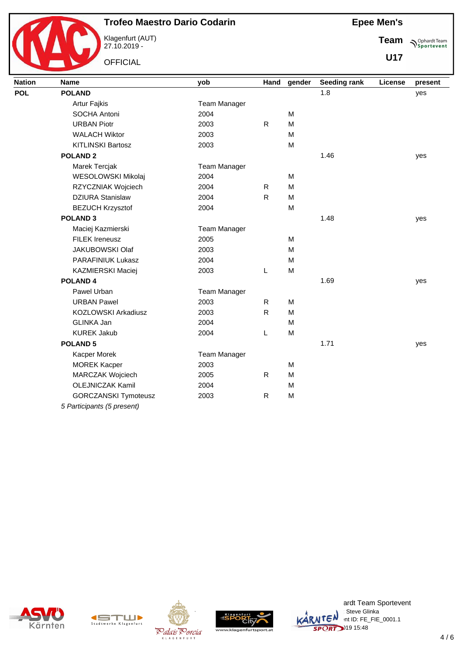

Klagenfurt (AUT) 27.10.2019 -

**OFFICIAL** 

**Sportevent Team**

**U17**

| <b>Nation</b> | <b>Name</b>                 | yob                 | Hand         | gender | Seeding rank | License | present |
|---------------|-----------------------------|---------------------|--------------|--------|--------------|---------|---------|
| <b>POL</b>    | <b>POLAND</b>               |                     |              |        | 1.8          |         | yes     |
|               | <b>Artur Fajkis</b>         | <b>Team Manager</b> |              |        |              |         |         |
|               | SOCHA Antoni                | 2004                |              | M      |              |         |         |
|               | <b>URBAN Piotr</b>          | 2003                | $\mathsf{R}$ | M      |              |         |         |
|               | <b>WALACH Wiktor</b>        | 2003                |              | M      |              |         |         |
|               | <b>KITLINSKI Bartosz</b>    | 2003                |              | M      |              |         |         |
|               | <b>POLAND 2</b>             |                     |              |        | 1.46         |         | yes     |
|               | Marek Tercjak               | <b>Team Manager</b> |              |        |              |         |         |
|               | WESOLOWSKI Mikolaj          | 2004                |              | M      |              |         |         |
|               | RZYCZNIAK Wojciech          | 2004                | $\mathsf{R}$ | M      |              |         |         |
|               | <b>DZIURA Stanislaw</b>     | 2004                | $\mathsf{R}$ | M      |              |         |         |
|               | <b>BEZUCH Krzysztof</b>     | 2004                |              | M      |              |         |         |
|               | <b>POLAND 3</b>             |                     |              |        | 1.48         |         | yes     |
|               | Maciej Kazmierski           | <b>Team Manager</b> |              |        |              |         |         |
|               | <b>FILEK Ireneusz</b>       | 2005                |              | M      |              |         |         |
|               | <b>JAKUBOWSKI Olaf</b>      | 2003                |              | M      |              |         |         |
|               | PARAFINIUK Lukasz           | 2004                |              | M      |              |         |         |
|               | KAZMIERSKI Maciej           | 2003                | L            | M      |              |         |         |
|               | <b>POLAND4</b>              |                     |              |        | 1.69         |         | yes     |
|               | Pawel Urban                 | <b>Team Manager</b> |              |        |              |         |         |
|               | <b>URBAN Pawel</b>          | 2003                | $\mathsf{R}$ | M      |              |         |         |
|               | KOZLOWSKI Arkadiusz         | 2003                | $\mathsf{R}$ | M      |              |         |         |
|               | GLINKA Jan                  | 2004                |              | M      |              |         |         |
|               | <b>KUREK Jakub</b>          | 2004                | L            | M      |              |         |         |
|               | <b>POLAND 5</b>             |                     |              |        | 1.71         |         | yes     |
|               | Kacper Morek                | <b>Team Manager</b> |              |        |              |         |         |
|               | <b>MOREK Kacper</b>         | 2003                |              | M      |              |         |         |
|               | MARCZAK Wojciech            | 2005                | ${\sf R}$    | M      |              |         |         |
|               | <b>OLEJNICZAK Kamil</b>     | 2004                |              | M      |              |         |         |
|               | <b>GORCZANSKI Tymoteusz</b> | 2003                | $\mathsf{R}$ | M      |              |         |         |
|               | 5 Participants (5 present)  |                     |              |        |              |         |         |











ardt Team Sportevent<br>∷Steve Glinka **License: Steve Glinka**  $\overline{C}$ <sup>N</sup>  $\cdot$ nt ID: FE\_FIE\_0001.1 SPORT 19 15:48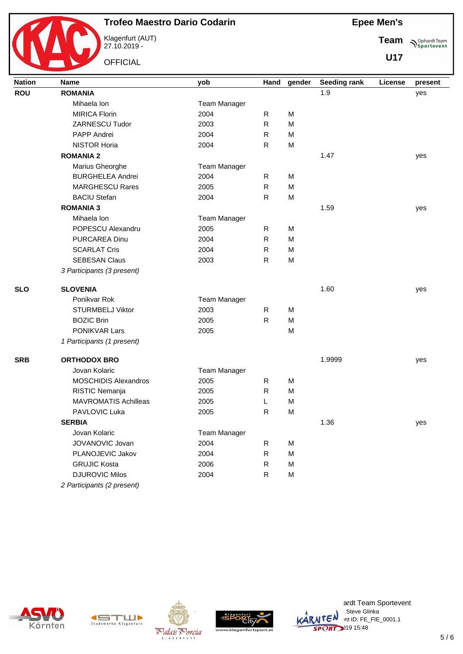

Klagenfurt (AUT) 27.10.2019 -

**OFFICIAL** 

**Sportevent Team**

| <b>Nation</b> | <b>Name</b>                 | yob                 | Hand         | gender | <b>Seeding rank</b> | License | present |
|---------------|-----------------------------|---------------------|--------------|--------|---------------------|---------|---------|
| <b>ROU</b>    | <b>ROMANIA</b>              |                     |              |        | 1.9                 |         | yes     |
|               | Mihaela Ion                 | Team Manager        |              |        |                     |         |         |
|               | <b>MIRICA Florin</b>        | 2004                | $\mathsf{R}$ | M      |                     |         |         |
|               | ZARNESCU Tudor              | 2003                | ${\sf R}$    | M      |                     |         |         |
|               | PAPP Andrei                 | 2004                | ${\sf R}$    | M      |                     |         |         |
|               | <b>NISTOR Horia</b>         | 2004                | ${\sf R}$    | M      |                     |         |         |
|               | <b>ROMANIA 2</b>            |                     |              |        | 1.47                |         | yes     |
|               | Marius Gheorghe             | Team Manager        |              |        |                     |         |         |
|               | <b>BURGHELEA Andrei</b>     | 2004                | R            | M      |                     |         |         |
|               | <b>MARGHESCU Rares</b>      | 2005                | ${\sf R}$    | M      |                     |         |         |
|               | <b>BACIU Stefan</b>         | 2004                | ${\sf R}$    | M      |                     |         |         |
|               | <b>ROMANIA 3</b>            |                     |              |        | 1.59                |         | yes     |
|               | Mihaela Ion                 | <b>Team Manager</b> |              |        |                     |         |         |
|               | POPESCU Alexandru           | 2005                | R            | M      |                     |         |         |
|               | <b>PURCAREA Dinu</b>        | 2004                | R            | M      |                     |         |         |
|               | <b>SCARLAT Cris</b>         | 2004                | R            | M      |                     |         |         |
|               | <b>SEBESAN Claus</b>        | 2003                | R            | M      |                     |         |         |
|               | 3 Participants (3 present)  |                     |              |        |                     |         |         |
| <b>SLO</b>    | <b>SLOVENIA</b>             |                     |              |        | 1.60                |         | yes     |
|               | Ponikvar Rok                | <b>Team Manager</b> |              |        |                     |         |         |
|               | <b>STURMBELJ Viktor</b>     | 2003                | $\mathsf{R}$ | M      |                     |         |         |
|               | <b>BOZIC Brin</b>           | 2005                | R            | M      |                     |         |         |
|               | PONIKVAR Lars               | 2005                |              | M      |                     |         |         |
|               | 1 Participants (1 present)  |                     |              |        |                     |         |         |
| <b>SRB</b>    | <b>ORTHODOX BRO</b>         |                     |              |        | 1.9999              |         | yes     |
|               | Jovan Kolaric               | <b>Team Manager</b> |              |        |                     |         |         |
|               | <b>MOSCHIDIS Alexandros</b> | 2005                | R            | M      |                     |         |         |
|               | RISTIC Nemanja              | 2005                | $\mathsf{R}$ | M      |                     |         |         |
|               | <b>MAVROMATIS Achilleas</b> | 2005                | L            | M      |                     |         |         |
|               | PAVLOVIC Luka               | 2005                | ${\sf R}$    | M      |                     |         |         |
|               | <b>SERBIA</b>               |                     |              |        | 1.36                |         | yes     |
|               | Jovan Kolaric               | Team Manager        |              |        |                     |         |         |
|               | JOVANOVIC Jovan             | 2004                | $\mathsf R$  | M      |                     |         |         |
|               | PLANOJEVIC Jakov            | 2004                | ${\sf R}$    | M      |                     |         |         |
|               | <b>GRUJIC Kosta</b>         | 2006                | ${\sf R}$    | M      |                     |         |         |
|               | <b>DJUROVIC Milos</b>       | 2004                | ${\sf R}$    | M      |                     |         |         |
|               | 2 Participants (2 present)  |                     |              |        |                     |         |         |









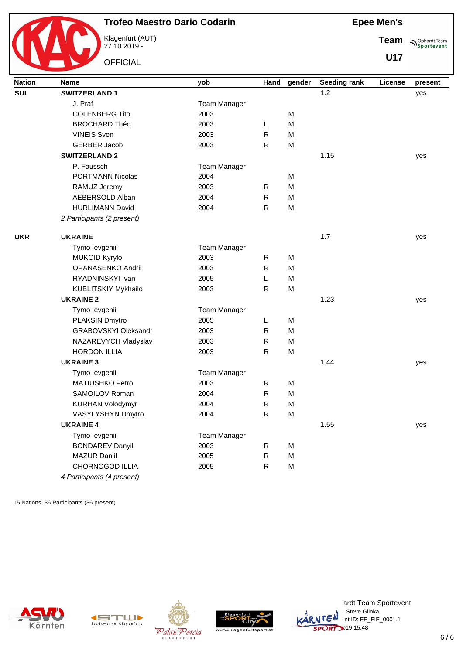

Klagenfurt (AUT) 27.10.2019 -

**OFFICIAL** 

**Team Sportevent** 

**U17**

| <b>Nation</b> | <b>Name</b>                 | yob                 | Hand         | gender | <b>Seeding rank</b> | License | present |
|---------------|-----------------------------|---------------------|--------------|--------|---------------------|---------|---------|
| SUI           | <b>SWITZERLAND 1</b>        |                     |              |        | 1.2                 |         | yes     |
|               | J. Praf                     | Team Manager        |              |        |                     |         |         |
|               | <b>COLENBERG Tito</b>       | 2003                |              | M      |                     |         |         |
|               | <b>BROCHARD Théo</b>        | 2003                | L            | M      |                     |         |         |
|               | <b>VINEIS Sven</b>          | 2003                | $\mathsf{R}$ | M      |                     |         |         |
|               | <b>GERBER Jacob</b>         | 2003                | $\mathsf{R}$ | M      |                     |         |         |
|               | <b>SWITZERLAND 2</b>        |                     |              |        | 1.15                |         | yes     |
|               | P. Faussch                  | <b>Team Manager</b> |              |        |                     |         |         |
|               | PORTMANN Nicolas            | 2004                |              | M      |                     |         |         |
|               | RAMUZ Jeremy                | 2003                | R            | M      |                     |         |         |
|               | AEBERSOLD Alban             | 2004                | ${\sf R}$    | M      |                     |         |         |
|               | <b>HURLIMANN David</b>      | 2004                | $\mathsf{R}$ | M      |                     |         |         |
|               | 2 Participants (2 present)  |                     |              |        |                     |         |         |
| <b>UKR</b>    | <b>UKRAINE</b>              |                     |              |        | 1.7                 |         | yes     |
|               | Tymo levgenii               | Team Manager        |              |        |                     |         |         |
|               | MUKOID Kyrylo               | 2003                | $\mathsf{R}$ | M      |                     |         |         |
|               | OPANASENKO Andrii           | 2003                | $\mathsf{R}$ | M      |                     |         |         |
|               | RYADNINSKYI Ivan            | 2005                | L            | M      |                     |         |         |
|               | <b>KUBLITSKIY Mykhailo</b>  | 2003                | $\mathsf{R}$ | M      |                     |         |         |
|               | <b>UKRAINE 2</b>            |                     |              |        | 1.23                |         | yes     |
|               | Tymo levgenii               | <b>Team Manager</b> |              |        |                     |         |         |
|               | PLAKSIN Dmytro              | 2005                | L            | M      |                     |         |         |
|               | <b>GRABOVSKYI Oleksandr</b> | 2003                | $\mathsf{R}$ | M      |                     |         |         |
|               | NAZAREVYCH Vladyslav        | 2003                | $\mathsf{R}$ | M      |                     |         |         |
|               | <b>HORDON ILLIA</b>         | 2003                | $\mathsf{R}$ | M      |                     |         |         |
|               | <b>UKRAINE 3</b>            |                     |              |        | 1.44                |         | yes     |
|               | Tymo levgenii               | <b>Team Manager</b> |              |        |                     |         |         |
|               | MATIUSHKO Petro             | 2003                | $\mathsf{R}$ | M      |                     |         |         |
|               | SAMOILOV Roman              | 2004                | $\mathsf{R}$ | M      |                     |         |         |
|               | <b>KURHAN Volodymyr</b>     | 2004                | R            | M      |                     |         |         |
|               | VASYLYSHYN Dmytro           | 2004                | $\mathsf{R}$ | M      |                     |         |         |
|               | <b>UKRAINE 4</b>            |                     |              |        | 1.55                |         | yes     |
|               | Tymo levgenii               | <b>Team Manager</b> |              |        |                     |         |         |
|               | <b>BONDAREV Danyil</b>      | 2003                | $\mathsf{R}$ | M      |                     |         |         |
|               | <b>MAZUR Daniil</b>         | 2005                | ${\sf R}$    | M      |                     |         |         |
|               | CHORNOGOD ILLIA             | 2005                | R            | M      |                     |         |         |
|               | 4 Participants (4 present)  |                     |              |        |                     |         |         |

15 Nations, 36 Participants (36 present)









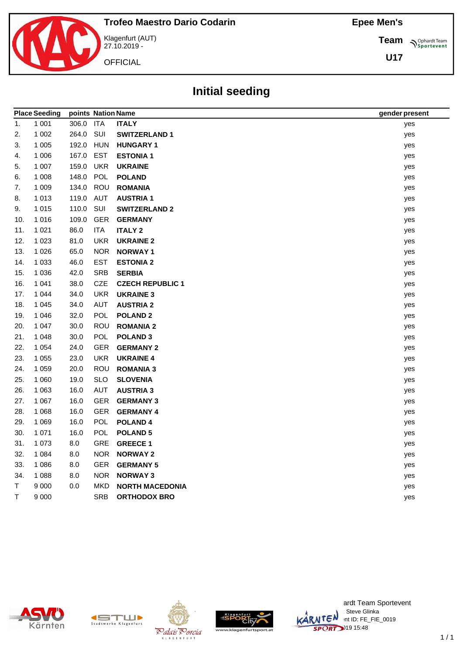**Team Sportevent** 

**U17**



Klagenfurt (AUT) 27.10.2019 -

**OFFICIAL** 

# **Initial seeding**

|     | <b>Place Seeding</b> | points Nation Name |            |                         | gender present |
|-----|----------------------|--------------------|------------|-------------------------|----------------|
| 1.  | 1 0 0 1              | 306.0 ITA          |            | <b>ITALY</b>            | yes            |
| 2.  | 1 0 0 2              | 264.0              | SUI        | <b>SWITZERLAND 1</b>    | yes            |
| 3.  | 1 0 0 5              | 192.0              | <b>HUN</b> | <b>HUNGARY 1</b>        | yes            |
| 4.  | 1 0 0 6              | 167.0              | <b>EST</b> | <b>ESTONIA1</b>         | yes            |
| 5.  | 1 0 0 7              | 159.0              | <b>UKR</b> | <b>UKRAINE</b>          | yes            |
| 6.  | 1 0 0 8              | 148.0              | POL        | <b>POLAND</b>           | yes            |
| 7.  | 1 0 0 9              | 134.0              | ROU        | <b>ROMANIA</b>          | yes            |
| 8.  | 1 0 1 3              | 119.0              | AUT        | <b>AUSTRIA1</b>         | yes            |
| 9.  | 1 0 1 5              | 110.0              | SUI        | <b>SWITZERLAND 2</b>    | yes            |
| 10. | 1 0 1 6              | 109.0              | <b>GER</b> | <b>GERMANY</b>          | yes            |
| 11. | 1 0 2 1              | 86.0               | <b>ITA</b> | <b>ITALY 2</b>          | yes            |
| 12. | 1 0 2 3              | 81.0               | <b>UKR</b> | <b>UKRAINE 2</b>        | yes            |
| 13. | 1 0 2 6              | 65.0               | <b>NOR</b> | <b>NORWAY1</b>          | yes            |
| 14. | 1 0 3 3              | 46.0               | <b>EST</b> | <b>ESTONIA 2</b>        | yes            |
| 15. | 1 0 3 6              | 42.0               | <b>SRB</b> | <b>SERBIA</b>           | yes            |
| 16. | 1 0 4 1              | 38.0               | CZE        | <b>CZECH REPUBLIC 1</b> | yes            |
| 17. | 1 0 4 4              | 34.0               | <b>UKR</b> | <b>UKRAINE 3</b>        | yes            |
| 18. | 1 0 4 5              | 34.0               | <b>AUT</b> | <b>AUSTRIA 2</b>        | yes            |
| 19. | 1 0 4 6              | 32.0               | <b>POL</b> | <b>POLAND 2</b>         | yes            |
| 20. | 1 0 4 7              | 30.0               | ROU        | <b>ROMANIA 2</b>        | yes            |
| 21. | 1 0 4 8              | 30.0               | <b>POL</b> | <b>POLAND 3</b>         | yes            |
| 22. | 1 0 5 4              | 24.0               | <b>GER</b> | <b>GERMANY 2</b>        | yes            |
| 23. | 1 0 5 5              | 23.0               | <b>UKR</b> | <b>UKRAINE 4</b>        | yes            |
| 24. | 1 0 5 9              | 20.0               | ROU        | <b>ROMANIA 3</b>        | yes            |
| 25. | 1 0 6 0              | 19.0               | <b>SLO</b> | <b>SLOVENIA</b>         | yes            |
| 26. | 1 0 6 3              | 16.0               | <b>AUT</b> | <b>AUSTRIA 3</b>        | yes            |
| 27. | 1 0 6 7              | 16.0               | <b>GER</b> | <b>GERMANY 3</b>        | yes            |
| 28. | 1 0 6 8              | 16.0               | <b>GER</b> | <b>GERMANY 4</b>        | yes            |
| 29. | 1 0 6 9              | 16.0               | <b>POL</b> | <b>POLAND4</b>          | yes            |
| 30. | 1 0 7 1              | 16.0               | <b>POL</b> | <b>POLAND 5</b>         | yes            |
| 31. | 1 0 7 3              | 8.0                | <b>GRE</b> | <b>GREECE 1</b>         | yes            |
| 32. | 1 0 8 4              | 8.0                | <b>NOR</b> | <b>NORWAY 2</b>         | yes            |
| 33. | 1 0 8 6              | 8.0                | <b>GER</b> | <b>GERMANY 5</b>        | yes            |
| 34. | 1 0 8 8              | 8.0                | <b>NOR</b> | <b>NORWAY 3</b>         | yes            |
| T   | 9 0 0 0              | 0.0                | <b>MKD</b> | <b>NORTH MACEDONIA</b>  | yes            |
| T.  | 9 0 0 0              |                    | <b>SRB</b> | <b>ORTHODOX BRO</b>     | yes            |









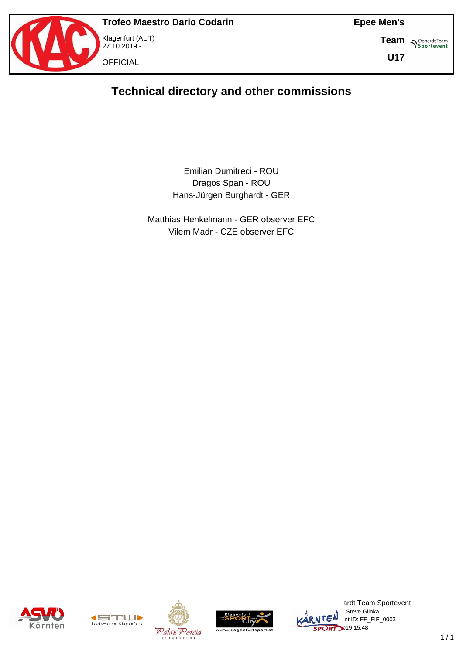

**Team S**<sup>Ophardt Team</sub></sup>

**U17**

# **Technical directory and other commissions**

#### Emilian Dumitreci - ROU Dragos Span - ROU Hans-Jürgen Burghardt - GER

Matthias Henkelmann - GER observer EFC Vilem Madr - CZE observer EFC









ardt Team Sportevent : Steve Glinka  $\overline{\text{MTEN}}$  intid: FE\_FIE\_0003  $25$ PORT $2$ <sup>19</sup> 15:48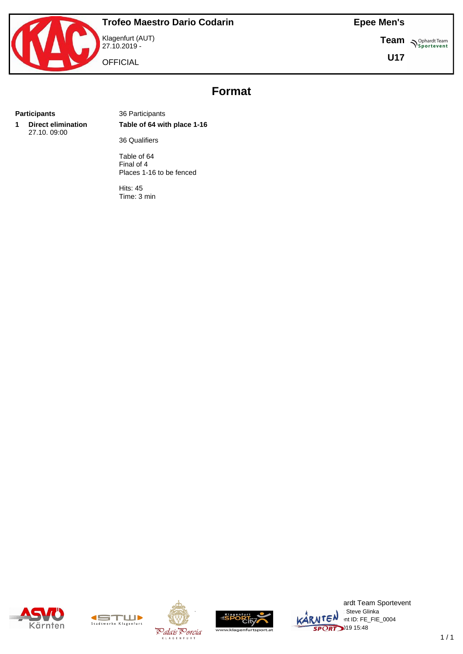



27.10.2019 - **OFFICIAL** 

**Team S**<sup>Ophardt Team</sub></sup>

**U17**

# **Format**

**1 Direct elimination** 27.10. 09:00

**Participants** 36 Participants **Table of 64 with place 1-16**

36 Qualifiers

Table of 64 Final of 4 Places 1-16 to be fenced

Hits: 45 Time: 3 min











ardt Team Sportevent : Steve Glinka  $KARNTEN$  nt ID: FE\_FIE\_0004  $SPORT$ <sup>319</sup> 15:48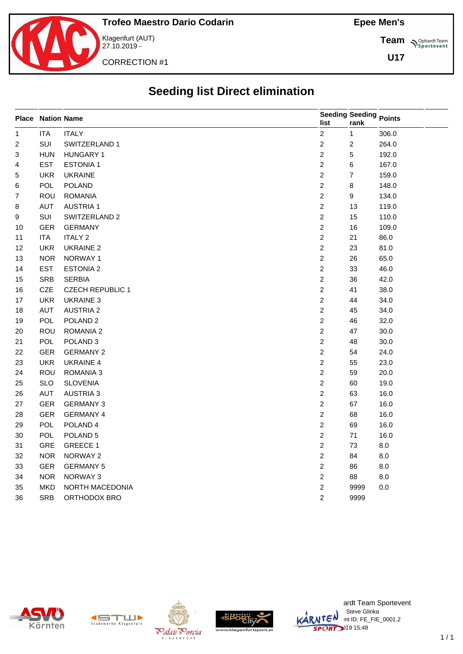

Klagenfurt (AUT) 27.10.2019 -

CORRECTION #1

**Team** *S<sup>Ophardt Team*<br> *S*<sup>P</sup>sportevent</sup>

**U17**

# **Seeding list Direct elimination**

|                         | <b>Place Nation Name</b> |                         | Seeding Seeding Points<br>list | rank                    |       |
|-------------------------|--------------------------|-------------------------|--------------------------------|-------------------------|-------|
| $\mathbf{1}$            | <b>ITA</b>               | <b>ITALY</b>            | $\overline{c}$                 | $\mathbf{1}$            | 306.0 |
| $\overline{\mathbf{c}}$ | SUI                      | SWITZERLAND 1           | $\sqrt{2}$                     | $\overline{\mathbf{c}}$ | 264.0 |
| 3                       | <b>HUN</b>               | <b>HUNGARY 1</b>        | $\overline{c}$                 | 5                       | 192.0 |
| 4                       | <b>EST</b>               | <b>ESTONIA1</b>         | $\overline{c}$                 | 6                       | 167.0 |
| 5                       | <b>UKR</b>               | <b>UKRAINE</b>          | $\overline{c}$                 | 7                       | 159.0 |
| 6                       | POL                      | POLAND                  | $\overline{c}$                 | 8                       | 148.0 |
| 7                       | ROU                      | <b>ROMANIA</b>          | $\overline{c}$                 | 9                       | 134.0 |
| 8                       | AUT                      | <b>AUSTRIA1</b>         | $\overline{c}$                 | 13                      | 119.0 |
| 9                       | SUI                      | SWITZERLAND 2           | $\overline{c}$                 | 15                      | 110.0 |
| 10                      | <b>GER</b>               | <b>GERMANY</b>          | $\overline{c}$                 | 16                      | 109.0 |
| 11                      | <b>ITA</b>               | <b>ITALY 2</b>          | $\overline{c}$                 | 21                      | 86.0  |
| 12                      | <b>UKR</b>               | <b>UKRAINE 2</b>        | $\overline{c}$                 | 23                      | 81.0  |
| 13                      | <b>NOR</b>               | NORWAY 1                | $\overline{c}$                 | 26                      | 65.0  |
| 14                      | <b>EST</b>               | <b>ESTONIA 2</b>        | $\boldsymbol{2}$               | 33                      | 46.0  |
| 15                      | SRB                      | <b>SERBIA</b>           | $\boldsymbol{2}$               | 36                      | 42.0  |
| 16                      | CZE                      | <b>CZECH REPUBLIC 1</b> | $\overline{c}$                 | 41                      | 38.0  |
| 17                      | <b>UKR</b>               | UKRAINE 3               | $\overline{c}$                 | 44                      | 34.0  |
| 18                      | <b>AUT</b>               | <b>AUSTRIA 2</b>        | $\overline{c}$                 | 45                      | 34.0  |
| 19                      | <b>POL</b>               | POLAND <sub>2</sub>     | $\overline{c}$                 | 46                      | 32.0  |
| 20                      | ROU                      | ROMANIA 2               | $\overline{c}$                 | 47                      | 30.0  |
| 21                      | <b>POL</b>               | POLAND <sub>3</sub>     | $\overline{c}$                 | 48                      | 30.0  |
| 22                      | <b>GER</b>               | <b>GERMANY 2</b>        | $\overline{c}$                 | 54                      | 24.0  |
| 23                      | <b>UKR</b>               | <b>UKRAINE 4</b>        | $\overline{c}$                 | 55                      | 23.0  |
| 24                      | ROU                      | ROMANIA 3               | $\overline{c}$                 | 59                      | 20.0  |
| 25                      | <b>SLO</b>               | <b>SLOVENIA</b>         | $\overline{c}$                 | 60                      | 19.0  |
| 26                      | <b>AUT</b>               | <b>AUSTRIA 3</b>        | $\overline{c}$                 | 63                      | 16.0  |
| 27                      | <b>GER</b>               | <b>GERMANY 3</b>        | $\overline{2}$                 | 67                      | 16.0  |
| 28                      | <b>GER</b>               | <b>GERMANY 4</b>        | $\overline{c}$                 | 68                      | 16.0  |
| 29                      | <b>POL</b>               | POLAND 4                | $\overline{c}$                 | 69                      | 16.0  |
| $30\,$                  | <b>POL</b>               | POLAND <sub>5</sub>     | $\overline{c}$                 | 71                      | 16.0  |
| 31                      | GRE                      | <b>GREECE 1</b>         | $\overline{2}$                 | 73                      | 8.0   |
| 32                      | <b>NOR</b>               | NORWAY 2                | $\overline{c}$                 | 84                      | 8.0   |
| 33                      | <b>GER</b>               | <b>GERMANY 5</b>        | $\overline{2}$                 | 86                      | 8.0   |
| 34                      | <b>NOR</b>               | NORWAY 3                | $\sqrt{2}$                     | 88                      | 8.0   |
| 35                      | <b>MKD</b>               | NORTH MACEDONIA         | $\overline{c}$                 | 9999                    | 0.0   |
| 36                      | <b>SRB</b>               | ORTHODOX BRO            | $\overline{2}$                 | 9999                    |       |









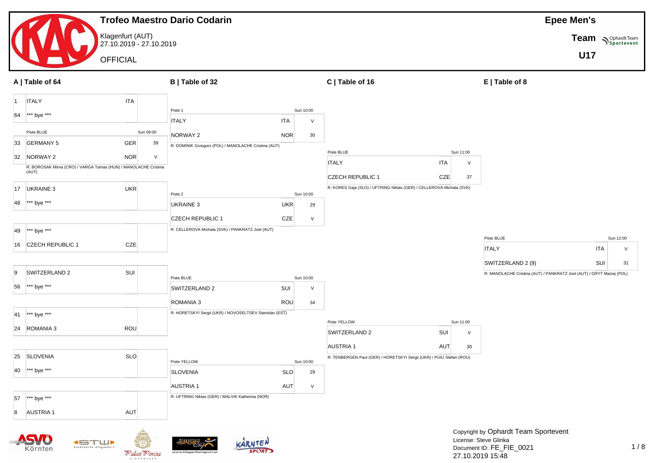|           |                                                                          |                                             | <b>Trofeo Maestro Dario Codarin</b> |                                                         |            |           |                                                                      |            |           |                                                                                            | <b>Epee Men's</b> |                           |
|-----------|--------------------------------------------------------------------------|---------------------------------------------|-------------------------------------|---------------------------------------------------------|------------|-----------|----------------------------------------------------------------------|------------|-----------|--------------------------------------------------------------------------------------------|-------------------|---------------------------|
|           |                                                                          | Klagenfurt (AUT)<br>27.10.2019 - 27.10.2019 |                                     |                                                         |            |           |                                                                      |            |           |                                                                                            |                   | Team <b>Supplier Team</b> |
|           |                                                                          | <b>OFFICIAL</b>                             |                                     |                                                         |            |           |                                                                      |            |           |                                                                                            | <b>U17</b>        |                           |
|           | A   Table of 64                                                          |                                             | B   Table of 32                     |                                                         |            |           | C   Table of 16                                                      |            |           | E   Table of 8                                                                             |                   |                           |
| $\vert$ 1 | <b>ITALY</b>                                                             | <b>ITA</b>                                  |                                     |                                                         |            |           |                                                                      |            |           |                                                                                            |                   |                           |
| 64        | *** bye ***                                                              |                                             | Piste 1                             |                                                         |            | Sun 10:00 |                                                                      |            |           |                                                                                            |                   |                           |
|           | Piste BLUE                                                               |                                             | <b>ITALY</b><br>Sun 09:00           |                                                         | <b>ITA</b> | V         |                                                                      |            |           |                                                                                            |                   |                           |
| 33        | <b>GERMANY 5</b>                                                         | <b>GER</b>                                  | NORWAY 2<br>39                      | R: DOMINIK Grzegorz (POL) / MANOLACHE Cristina (AUT)    | <b>NOR</b> | 30        |                                                                      |            |           |                                                                                            |                   |                           |
| 32        | NORWAY 2                                                                 | <b>NOR</b>                                  | $\vee$                              |                                                         |            |           | Piste BLUE                                                           |            | Sun 11:00 |                                                                                            |                   |                           |
|           | R: BOROSAK Mirna (CRO) / VARGA Tamas (HUN) / MANOLACHE Cristina<br>(AUT) |                                             |                                     |                                                         |            |           | <b>ITALY</b>                                                         | <b>ITA</b> | $\vee$    |                                                                                            |                   |                           |
|           |                                                                          |                                             |                                     |                                                         |            |           | <b>CZECH REPUBLIC 1</b>                                              | CZE        | 37        |                                                                                            |                   |                           |
| 17        | UKRAINE 3                                                                | <b>UKR</b>                                  | Piste 2                             |                                                         |            | Sun 10:00 | R: KORES Gaja (SLO) / UFTRING Niklas (GER) / CELLEROVA Michala (SVK) |            |           |                                                                                            |                   |                           |
| 48        | *** bye ***                                                              |                                             | UKRAINE 3                           |                                                         | <b>UKR</b> | 29        |                                                                      |            |           |                                                                                            |                   |                           |
|           |                                                                          |                                             |                                     | <b>CZECH REPUBLIC 1</b>                                 | CZE        | $\vee$    |                                                                      |            |           |                                                                                            |                   |                           |
| 49        | *** bye ***                                                              |                                             |                                     | R: CELLEROVA Michala (SVK) / PANKRATZ Joel (AUT)        |            |           |                                                                      |            |           |                                                                                            |                   |                           |
| 16        | CZECH REPUBLIC 1                                                         | CZE                                         |                                     |                                                         |            |           |                                                                      |            |           | Piste BLUE<br><b>ITALY</b>                                                                 |                   | Sun 12:00<br>v            |
|           |                                                                          |                                             |                                     |                                                         |            |           |                                                                      |            |           |                                                                                            | ITA               |                           |
| 9         | SWITZERLAND 2                                                            | SUI                                         |                                     |                                                         |            |           |                                                                      |            |           | SWITZERLAND 2 (9)<br>R: MANOLACHE Cristina (AUT) / PANKRATZ Joel (AUT) / GRYT Maciej (POL) |                   | SUI<br>31                 |
| 56        | *** bye ***                                                              |                                             | Piste BLUE                          |                                                         |            | Sun 10:00 |                                                                      |            |           |                                                                                            |                   |                           |
|           |                                                                          |                                             | SWITZERLAND 2                       |                                                         | SUI        | V         |                                                                      |            |           |                                                                                            |                   |                           |
|           |                                                                          |                                             | ROMANIA 3                           |                                                         | <b>ROU</b> | 34        |                                                                      |            |           |                                                                                            |                   |                           |
| 41        | *** bye ***                                                              |                                             |                                     | R: HORETSKYI Sergii (UKR) / NOVOSELTSEV Stanislav (EST) |            |           | Piste YELLOW                                                         |            | Sun 11:00 |                                                                                            |                   |                           |
| 24        | ROMANIA 3                                                                | ROU                                         |                                     |                                                         |            |           | SWITZERLAND 2                                                        | SUI        | $\vee$    |                                                                                            |                   |                           |
|           |                                                                          |                                             |                                     |                                                         |            |           | <b>AUSTRIA1</b>                                                      | <b>AUT</b> | 30        |                                                                                            |                   |                           |
|           | 25 SLOVENIA                                                              | <b>SLO</b>                                  | Piste YELLOW                        |                                                         |            | Sun 10:00 | R: TENBERGEN Paul (GER) / HORETSKYI Sergii (UKR) / PUIU Stefan (ROU) |            |           |                                                                                            |                   |                           |
| 40        | *** bye ***                                                              |                                             | <b>SLOVENIA</b>                     |                                                         | <b>SLO</b> | 29        |                                                                      |            |           |                                                                                            |                   |                           |
|           |                                                                          |                                             | <b>AUSTRIA1</b>                     |                                                         | <b>AUT</b> | $\vee$    |                                                                      |            |           |                                                                                            |                   |                           |
| 57        | $ ***$ bye ***                                                           |                                             |                                     | R: UFTRING Niklas (GER) / MALVIK Katherina (NOR)        |            |           |                                                                      |            |           |                                                                                            |                   |                           |
| 8         | <b>AUSTRIA1</b>                                                          | AUT                                         |                                     |                                                         |            |           |                                                                      |            |           |                                                                                            |                   |                           |
|           |                                                                          |                                             |                                     |                                                         |            |           |                                                                      |            |           |                                                                                            |                   |                           |
|           |                                                                          |                                             |                                     |                                                         |            |           |                                                                      |            |           | Copyright by Ophardt Team Sportevent<br>License: Steve Glinka                              |                   |                           |
|           | Kärnten                                                                  | Stadtwerke Klagenfurt<br>Palais Porcia      |                                     | KARNTEN<br><b>SPORT</b><br>www.klagenfurtsport.at       |            |           |                                                                      |            |           | Document ID: FE_FIE_0021                                                                   |                   | 1/                        |
|           |                                                                          |                                             |                                     |                                                         |            |           |                                                                      |            |           | 27.10.2019 15:48                                                                           |                   |                           |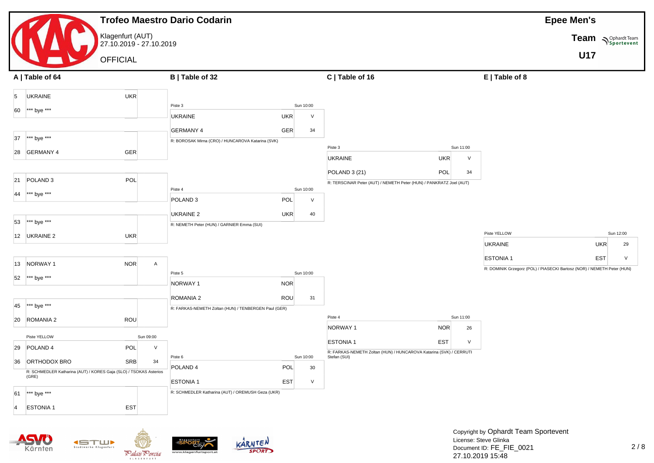

**KETTLIK** Stadtwerke Klagenfurt

Kärnter



**KLAGENFURT** 



License: Steve Glinka Document ID: FE\_FIE\_0021 27.10.2019 15:48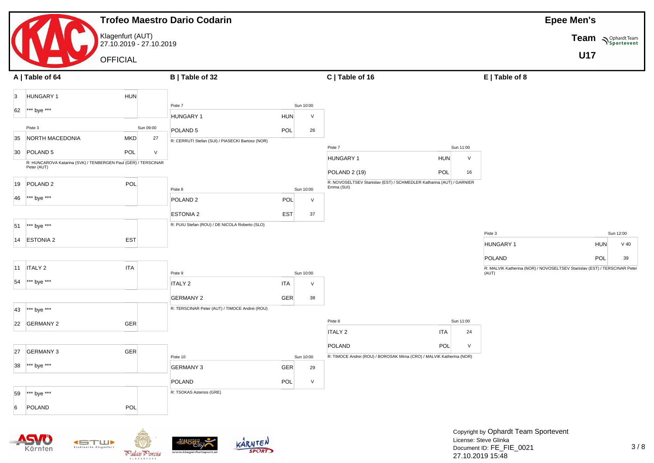|                                               |                                                                | <b>Trofeo Maestro Dario Codarin</b>              |            |                 |                                                                                    |                  |                                                                                     | <b>Epee Men's</b>          |           |
|-----------------------------------------------|----------------------------------------------------------------|--------------------------------------------------|------------|-----------------|------------------------------------------------------------------------------------|------------------|-------------------------------------------------------------------------------------|----------------------------|-----------|
|                                               | Klagenfurt (AUT)<br>27.10.2019 - 27.10.2019                    |                                                  |            |                 |                                                                                    |                  |                                                                                     | Team <b>Supplardt Team</b> |           |
|                                               | <b>OFFICIAL</b>                                                |                                                  |            |                 |                                                                                    |                  |                                                                                     | U17                        |           |
| A   Table of 64                               |                                                                | B   Table of 32                                  |            |                 | C   Table of 16                                                                    |                  | $E$   Table of 8                                                                    |                            |           |
|                                               |                                                                |                                                  |            |                 |                                                                                    |                  |                                                                                     |                            |           |
| HUNGARY 1<br>$\overline{3}$                   | <b>HUN</b>                                                     |                                                  |            |                 |                                                                                    |                  |                                                                                     |                            |           |
| *** bye ***<br>62                             |                                                                | Piste 7<br>HUNGARY 1                             | <b>HUN</b> | Sun 10:00<br>V  |                                                                                    |                  |                                                                                     |                            |           |
| Piste 3                                       | Sun 09:00                                                      | POLAND <sub>5</sub>                              | POL        | 26              |                                                                                    |                  |                                                                                     |                            |           |
| NORTH MACEDONIA<br>35                         | <b>MKD</b><br>27                                               | R: CERRUTI Stefan (SUI) / PIASECKI Bartosz (NOR) |            |                 |                                                                                    |                  |                                                                                     |                            |           |
| POLAND <sub>5</sub><br>30                     | POL<br>$\vee$                                                  |                                                  |            |                 | Piste 7                                                                            | Sun 11:00        |                                                                                     |                            |           |
| Peter (AUT)                                   | R: HUNCAROVA Katarina (SVK) / TENBERGEN Paul (GER) / TERSCINAR |                                                  |            |                 | <b>HUNGARY 1</b>                                                                   | <b>HUN</b><br>V  |                                                                                     |                            |           |
|                                               |                                                                |                                                  |            |                 | POLAND 2 (19)                                                                      | POL<br>16        |                                                                                     |                            |           |
| POLAND <sub>2</sub><br>19                     | POL                                                            | Piste 8                                          |            | Sun 10:00       | R: NOVOSELTSEV Stanislav (EST) / SCHMEDLER Katharina (AUT) / GARNIER<br>Emma (SUI) |                  |                                                                                     |                            |           |
| *** bye ***<br>46                             |                                                                | POLAND <sub>2</sub>                              | <b>POL</b> | $\vee$          |                                                                                    |                  |                                                                                     |                            |           |
|                                               |                                                                | <b>ESTONIA 2</b>                                 | <b>EST</b> | 37              |                                                                                    |                  |                                                                                     |                            |           |
| *** bye ***<br>51                             |                                                                | R: PUIU Stefan (ROU) / DE NICOLA Roberto (SLO)   |            |                 |                                                                                    |                  |                                                                                     |                            |           |
| 14 ESTONIA 2                                  | EST                                                            |                                                  |            |                 |                                                                                    |                  | Piste 3                                                                             |                            | Sun 12:00 |
|                                               |                                                                |                                                  |            |                 |                                                                                    |                  | HUNGARY 1                                                                           | <b>HUN</b>                 | $V$ 40    |
| $11$ ITALY 2                                  | ITA                                                            |                                                  |            |                 |                                                                                    |                  | POLAND<br>R: MALVIK Katherina (NOR) / NOVOSELTSEV Stanislav (EST) / TERSCINAR Peter | POL                        | 39        |
|                                               |                                                                | Piste 9                                          |            | Sun 10:00       |                                                                                    |                  | (AUT)                                                                               |                            |           |
| *** bye ***<br>54                             |                                                                | <b>ITALY 2</b>                                   | <b>ITA</b> | $\vee$          |                                                                                    |                  |                                                                                     |                            |           |
|                                               |                                                                | <b>GERMANY 2</b>                                 | <b>GER</b> | 38              |                                                                                    |                  |                                                                                     |                            |           |
| *** bye ***<br>43                             |                                                                | R: TERSCINAR Peter (AUT) / TIMOCE Andrei (ROU)   |            |                 |                                                                                    |                  |                                                                                     |                            |           |
| 22 GERMANY 2                                  | <b>GER</b>                                                     |                                                  |            |                 | Piste 8                                                                            | Sun 11:00        |                                                                                     |                            |           |
|                                               |                                                                |                                                  |            |                 | <b>ITALY 2</b>                                                                     | <b>ITA</b><br>24 |                                                                                     |                            |           |
| 27 GERMANY 3                                  | <b>GER</b>                                                     |                                                  |            |                 | POLAND<br>R: TIMOCE Andrei (ROU) / BOROSAK Mirna (CRO) / MALVIK Katherina (NOR)    | POL<br>$\vee$    |                                                                                     |                            |           |
| $\star\star\star$ bye $\star\star\star$<br>38 |                                                                | Piste 10<br><b>GERMANY 3</b>                     | GER        | Sun 10:00<br>29 |                                                                                    |                  |                                                                                     |                            |           |
|                                               |                                                                | POLAND                                           | $\sf POL$  | $\vee$          |                                                                                    |                  |                                                                                     |                            |           |
| *** bye ***<br>59                             |                                                                | R: TSOKAS Asterios (GRE)                         |            |                 |                                                                                    |                  |                                                                                     |                            |           |
| <b>POLAND</b><br>6                            | POL                                                            |                                                  |            |                 |                                                                                    |                  |                                                                                     |                            |           |
|                                               |                                                                |                                                  |            |                 |                                                                                    |                  |                                                                                     |                            |           |
|                                               |                                                                |                                                  |            |                 |                                                                                    |                  | Copyright by Ophardt Team Sportevent                                                |                            |           |
|                                               | Stadtwerke Klagenfurt                                          | KARNTEN                                          |            |                 |                                                                                    |                  | License: Steve Glinka                                                               |                            |           |
| Kärnten                                       | Palais Porcia                                                  | <b>SPORT</b><br>www.klagenfurtsport.a            |            |                 |                                                                                    |                  | Document ID: FE_FIE_0021<br>27.10.2019 15:48                                        |                            | 3/8       |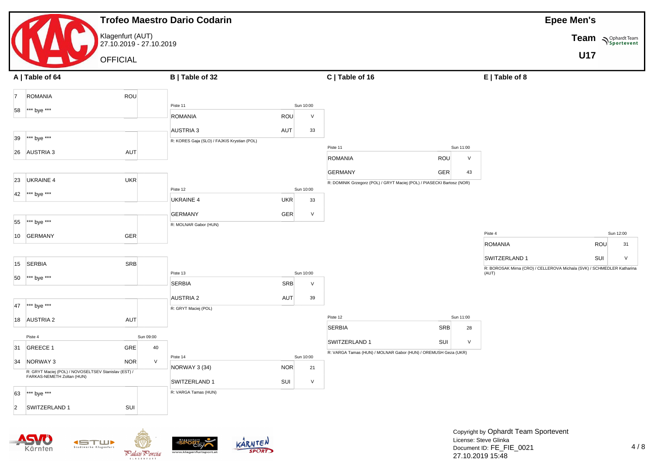|                                                      |                                             | <b>Trofeo Maestro Dario Codarin</b>                             |                  |                                                                |                                                                        |                                                                        | <b>Epee Men's</b>          |
|------------------------------------------------------|---------------------------------------------|-----------------------------------------------------------------|------------------|----------------------------------------------------------------|------------------------------------------------------------------------|------------------------------------------------------------------------|----------------------------|
|                                                      | Klagenfurt (AUT)<br>27.10.2019 - 27.10.2019 |                                                                 |                  |                                                                |                                                                        |                                                                        | Team <b>Suppliers</b> Team |
|                                                      | <b>OFFICIAL</b>                             |                                                                 |                  |                                                                |                                                                        |                                                                        | <b>U17</b>                 |
| A   Table of 64                                      |                                             | B   Table of 32                                                 |                  | C   Table of 16                                                |                                                                        | E   Table of 8                                                         |                            |
| <b>ROMANIA</b><br>$\overline{7}$                     | <b>ROU</b>                                  |                                                                 |                  |                                                                |                                                                        |                                                                        |                            |
| 58<br>*** bye ***                                    |                                             | Piste 11                                                        | Sun 10:00        |                                                                |                                                                        |                                                                        |                            |
|                                                      |                                             | ROMANIA                                                         | ROU              | $\vee$                                                         |                                                                        |                                                                        |                            |
| *** bye ***<br>39                                    |                                             | <b>AUSTRIA 3</b><br>R: KORES Gaja (SLO) / FAJKIS Krystian (POL) | AUT              | 33                                                             |                                                                        |                                                                        |                            |
| AUSTRIA <sub>3</sub><br>26                           | AUT                                         |                                                                 |                  | Piste 11                                                       | Sun 11:00                                                              |                                                                        |                            |
|                                                      |                                             |                                                                 |                  | <b>ROMANIA</b>                                                 | <b>ROU</b><br>$\vee$                                                   |                                                                        |                            |
| <b>UKRAINE 4</b><br>23                               | UKR                                         |                                                                 |                  | <b>GERMANY</b>                                                 | GER<br>43                                                              |                                                                        |                            |
|                                                      |                                             | Piste 12                                                        | Sun 10:00        |                                                                | R: DOMINIK Grzegorz (POL) / GRYT Maciej (POL) / PIASECKI Bartosz (NOR) |                                                                        |                            |
| *** bye ***<br>42                                    |                                             | <b>UKRAINE 4</b>                                                | <b>UKR</b>       | 33                                                             |                                                                        |                                                                        |                            |
|                                                      |                                             | <b>GERMANY</b>                                                  | <b>GER</b>       | V                                                              |                                                                        |                                                                        |                            |
| *** bye ***<br>55                                    |                                             | R: MOLNAR Gabor (HUN)                                           |                  |                                                                |                                                                        |                                                                        |                            |
| <b>GERMANY</b><br>10                                 | GER                                         |                                                                 |                  |                                                                |                                                                        | Piste 4<br><b>ROMANIA</b>                                              | Sun 12:00<br>ROU<br>31     |
|                                                      |                                             |                                                                 |                  |                                                                |                                                                        | SWITZERLAND 1                                                          | SUI<br>V                   |
| <b>SERBIA</b><br>15                                  | <b>SRB</b>                                  |                                                                 |                  |                                                                |                                                                        | R: BOROSAK Mirna (CRO) / CELLEROVA Michala (SVK) / SCHMEDLER Katharina |                            |
| *** bye ***<br>50                                    |                                             | Piste 13<br><b>SERBIA</b>                                       | Sun 10:00<br>SRB | V                                                              |                                                                        | (AUT)                                                                  |                            |
|                                                      |                                             | <b>AUSTRIA 2</b>                                                | AUT              | 39                                                             |                                                                        |                                                                        |                            |
| *** bye ***<br>47                                    |                                             | R: GRYT Maciej (POL)                                            |                  |                                                                |                                                                        |                                                                        |                            |
| 18 AUSTRIA 2                                         | AUT                                         |                                                                 |                  | Piste 12                                                       | Sun 11:00                                                              |                                                                        |                            |
| Piste 4                                              | Sun 09:00                                   |                                                                 |                  | <b>SERBIA</b>                                                  | SRB<br>28                                                              |                                                                        |                            |
| 31<br>GREECE 1                                       | GRE<br>40                                   |                                                                 |                  | SWITZERLAND 1                                                  | SUI<br>$\vee$                                                          |                                                                        |                            |
| 34<br>NORWAY 3                                       | NOR<br>V                                    | Piste 14                                                        | Sun 10:00        | R: VARGA Tamas (HUN) / MOLNAR Gabor (HUN) / OREMUSH Geza (UKR) |                                                                        |                                                                        |                            |
| R: GRYT Maciej (POL) / NOVOSELTSEV Stanislav (EST) / |                                             | NORWAY 3 (34)                                                   | <b>NOR</b>       | 21                                                             |                                                                        |                                                                        |                            |
| FARKAS-NEMETH Zoltan (HUN)                           |                                             | SWITZERLAND 1                                                   | SUI              | $\vee$                                                         |                                                                        |                                                                        |                            |
| *** bye ***<br>63                                    |                                             | R: VARGA Tamas (HUN)                                            |                  |                                                                |                                                                        |                                                                        |                            |
| SWITZERLAND 1<br>$\vert$ 2                           | SUI                                         |                                                                 |                  |                                                                |                                                                        |                                                                        |                            |
|                                                      |                                             |                                                                 |                  |                                                                |                                                                        |                                                                        |                            |
|                                                      |                                             |                                                                 |                  |                                                                |                                                                        | Copyright by Ophardt Team Sportevent<br>License: Steve Glinka          |                            |
| örnten                                               | <b>ISTUP</b><br>Stadtwerke Klagenfurt       |                                                                 | KARNTEN          |                                                                |                                                                        | Document ID: FE FIE 0021                                               | 4/8                        |



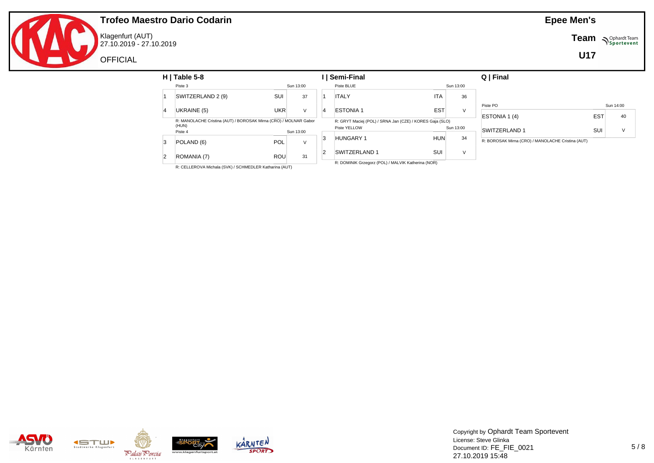

Klagenfurt (AUT) 27.10.2019 - 27.10.2019 **Team**  $\sum_{\text{Sportevent}}$ 

**U17**

|          | $H$   Table 5-8       |                                                                                               |           |                                                          | Semi-Final           |            |                      | Q   Final                                         |            |           |
|----------|-----------------------|-----------------------------------------------------------------------------------------------|-----------|----------------------------------------------------------|----------------------|------------|----------------------|---------------------------------------------------|------------|-----------|
|          | Piste 3               |                                                                                               | Sun 13:00 |                                                          | Piste BLUE           |            | Sun 13:00            |                                                   |            |           |
|          | SWITZERLAND 2 (9)     | SUI                                                                                           | 37        |                                                          | <b>ITALY</b>         | <b>ITA</b> | 36                   |                                                   |            |           |
|          | UKRAINE (5)           | <b>UKR</b>                                                                                    | $\vee$    |                                                          | <b>ESTONIA1</b>      | <b>EST</b> | $\vee$               | Piste PO                                          |            | Sun 14:00 |
| <b>A</b> |                       |                                                                                               |           | $\overline{4}$                                           |                      |            |                      | ESTONIA 1 (4)                                     | <b>EST</b> | 40        |
| (HUN)    |                       | R: MANOLACHE Cristina (AUT) / BOROSAK Mirna (CRO) / MOLNAR Gabor<br>Piste YELLOW<br>Sun 13:00 |           | R: GRYT Maciej (POL) / SRNA Jan (CZE) / KORES Gaja (SLO) |                      | Sun 13:00  | <b>SWITZERLAND 1</b> | SUI                                               | $\vee$     |           |
| 3        | Piste 4<br>POLAND (6) | <b>POL</b>                                                                                    | $\vee$    | 3                                                        | <b>HUNGARY 1</b>     | <b>HUN</b> | 34                   | R: BOROSAK Mirna (CRO) / MANOLACHE Cristina (AUT) |            |           |
|          | ROMANIA (7)           | <b>ROU</b>                                                                                    | 31        |                                                          | <b>SWITZERLAND 1</b> | SUI        | $\vee$               |                                                   |            |           |

R: CELLEROVA Michala (SVK) / SCHMEDLER Katharina (AUT)

z (POL)





Copyright by Ophardt Team Sportevent License: Steve Glinka Document ID: FE\_FIE\_0021 27.10.2019 15:48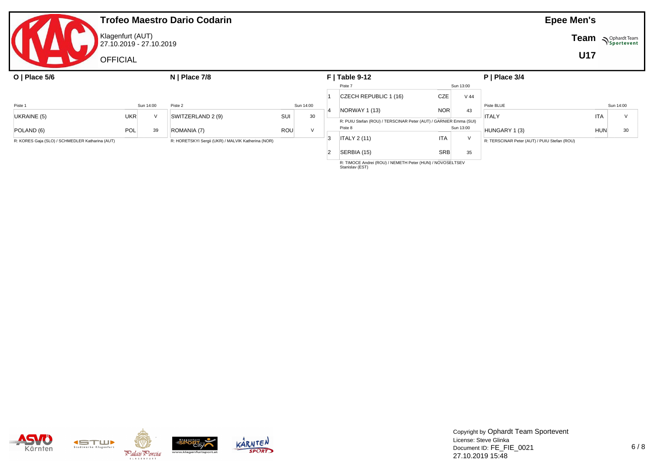|                                                                                                       |                  |                         | <b>Trofeo Maestro Dario Codarin</b> |     |               |                |                                                                              |            |        |                                              | <b>Epee Men's</b> |           |
|-------------------------------------------------------------------------------------------------------|------------------|-------------------------|-------------------------------------|-----|---------------|----------------|------------------------------------------------------------------------------|------------|--------|----------------------------------------------|-------------------|-----------|
|                                                                                                       | Klagenfurt (AUT) | 27.10.2019 - 27.10.2019 |                                     |     |               |                |                                                                              |            |        | <b>Team</b>                                  | Sportevent        |           |
|                                                                                                       | <b>OFFICIAL</b>  |                         |                                     |     |               |                |                                                                              |            |        |                                              | <b>U17</b>        |           |
| O   Place $5/6$                                                                                       |                  |                         | $N$   Place 7/8                     |     |               |                | $F$   Table 9-12                                                             |            |        | $P$   Place 3/4                              |                   |           |
|                                                                                                       |                  |                         |                                     |     |               |                | Piste 7                                                                      | Sun 13:00  |        |                                              |                   |           |
|                                                                                                       |                  |                         |                                     |     |               |                | CZECH REPUBLIC 1 (16)                                                        | CZE        | $V$ 44 |                                              |                   |           |
| Piste 1                                                                                               |                  | Sun 14:00               | Piste 2                             |     | Sun 14:00     |                |                                                                              |            |        | Piste BLUE                                   |                   | Sun 14:00 |
| UKRAINE (5)                                                                                           | <b>UKR</b>       | $\mathcal{U}$           | SWITZERLAND 2 (9)                   | SUI | 30            |                | NORWAY 1 (13)                                                                | <b>NOR</b> | 43     | <b>ITALY</b>                                 | <b>ITA</b>        | $\vee$    |
|                                                                                                       |                  |                         |                                     |     |               |                | R: PUIU Stefan (ROU) / TERSCINAR Peter (AUT) / GARNIER Emma (SUI)<br>Piste 8 | Sun 13:00  |        |                                              |                   |           |
| POLAND (6)                                                                                            | POL              | 39                      | ROMANIA (7)                         | ROU | $\mathcal{U}$ |                |                                                                              |            |        | HUNGARY 1 (3)                                | <b>HUN</b>        | 30        |
| R: KORES Gaja (SLO) / SCHMEDLER Katharina (AUT)<br>R: HORETSKYI Sergii (UKR) / MALVIK Katherina (NOR) |                  |                         |                                     |     |               | 3              | <b>ITALY 2 (11)</b>                                                          | <b>ITA</b> | $\vee$ | R: TERSCINAR Peter (AUT) / PUIU Stefan (ROU) |                   |           |
|                                                                                                       |                  |                         |                                     |     |               | $\overline{2}$ | SERBIA (15)                                                                  | <b>SRB</b> | 35     |                                              |                   |           |

R: TIMOCE Andrei (ROU) / NEMETH Peter (HUN) / NOVOSELTSEV Stanislav (EST)





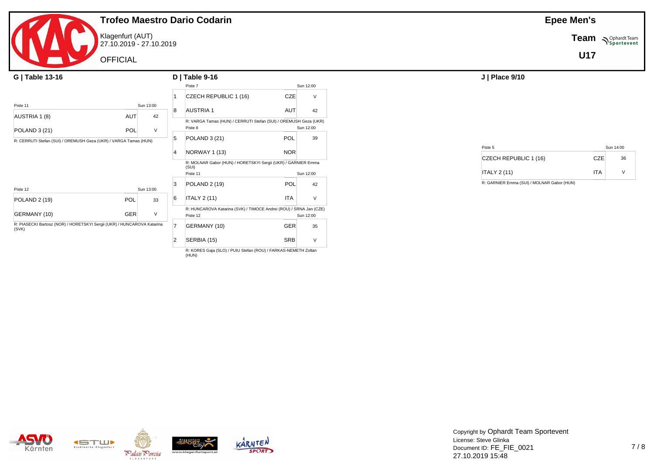

Klagenfurt (AUT) 27.10.2019 - 27.10.2019

**OFFICIAL** 

| G   Table 13-16                                                                  |            |         |          | $D$   Table 9-16                                                       |            |           |         | J   Place 9/10      |
|----------------------------------------------------------------------------------|------------|---------|----------|------------------------------------------------------------------------|------------|-----------|---------|---------------------|
|                                                                                  |            |         |          | Piste 7                                                                |            | Sun 12:00 |         |                     |
|                                                                                  |            |         |          | CZECH REPUBLIC 1 (16)                                                  | CZE        | $\vee$    |         |                     |
| Piste 11                                                                         | Sun 13:00  |         |          |                                                                        |            |           |         |                     |
| AUSTRIA 1 (8)                                                                    | AUT        | 8<br>42 |          | <b>AUSTRIA1</b>                                                        | <b>AUT</b> | 42        |         |                     |
|                                                                                  |            |         |          | R: VARGA Tamas (HUN) / CERRUTI Stefan (SUI) / OREMUSH Geza (UKR)       |            |           |         |                     |
| <b>POLAND 3 (21)</b>                                                             | <b>POL</b> | $\vee$  |          | Piste 8                                                                |            | Sun 12:00 |         |                     |
| R: CERRUTI Stefan (SUI) / OREMUSH Geza (UKR) / VARGA Tamas (HUN)                 |            |         |          | POLAND 3 (21)                                                          | POL        | 39        |         |                     |
|                                                                                  |            |         |          |                                                                        |            |           | Piste 5 |                     |
|                                                                                  |            |         |          | NORWAY 1 (13)                                                          | <b>NOR</b> |           |         | <b>CZECH REPUBL</b> |
|                                                                                  |            |         |          | R: MOLNAR Gabor (HUN) / HORETSKYI Sergii (UKR) / GARNIER Emma<br>(SUI) |            |           |         |                     |
|                                                                                  |            |         | Piste 11 |                                                                        | Sun 12:00  |           |         | <b>ITALY 2 (11)</b> |
| Piste 12                                                                         | Sun 13:00  | 3       |          | <b>POLAND 2 (19)</b>                                                   | <b>POL</b> | 42        |         | R: GARNIER Emma (S) |
| <b>POLAND 2 (19)</b>                                                             | POL        | 6<br>33 |          | <b>ITALY 2 (11)</b>                                                    | ITA        | $\vee$    |         |                     |
|                                                                                  |            |         |          | R: HUNCAROVA Katarina (SVK) / TIMOCE Andrei (ROU) / SRNA Jan (CZE)     |            |           |         |                     |
| GERMANY (10)                                                                     | GER        | V       |          | Piste 12                                                               |            | Sun 12:00 |         |                     |
| R: PIASECKI Bartosz (NOR) / HORETSKYI Sergii (UKR) / HUNCAROVA Katarina<br>(SVK) |            |         |          | GERMANY (10)                                                           | <b>GER</b> | 35        |         |                     |
|                                                                                  |            | 2       |          | SERBIA (15)                                                            | SRB        | $\vee$    |         |                     |

R: KORES Gaja (SLO) / PUIU Stefan (ROU) / FARKAS-NEMETH Zoltan  $(HUN)$ 

**Epee Men's**

**Team** *NSportevent* 

**U17**

| Piste 5               |     | Sun 14:00 |  |
|-----------------------|-----|-----------|--|
| CZECH REPUBLIC 1 (16) | CZE | 36        |  |
| <b>ITALY 2 (11)</b>   | ITA |           |  |

R: GARNIER Emma (SUI) / MOLNAR Gabor (HUN)







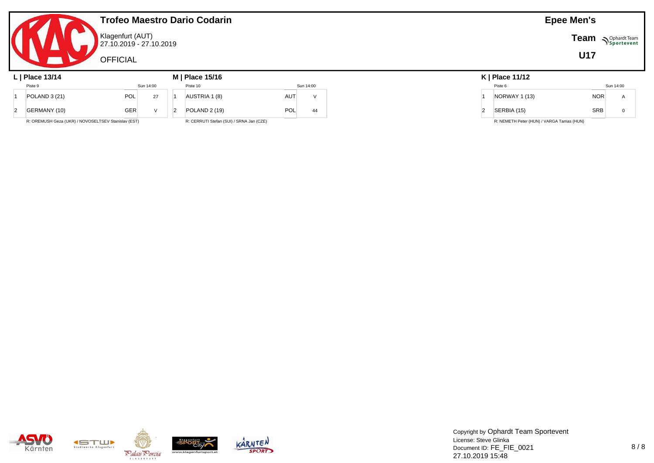|                                                     |                                             |              | <b>Trofeo Maestro Dario Codarin</b>      |            | <b>Epee Men's</b> |  |               |                                           |            |             |
|-----------------------------------------------------|---------------------------------------------|--------------|------------------------------------------|------------|-------------------|--|---------------|-------------------------------------------|------------|-------------|
|                                                     | Klagenfurt (AUT)<br>27.10.2019 - 27.10.2019 |              |                                          |            |                   |  |               | Team                                      | Sportevent |             |
|                                                     | <b>OFFICIAL</b>                             |              |                                          |            |                   |  |               |                                           | U17        |             |
| L   Place $13/14$                                   |                                             |              | M   Place 15/16                          |            |                   |  |               | $K$   Place 11/12                         |            |             |
| Piste 9                                             |                                             | Sun 14:00    | Piste 10                                 |            | Sun 14:00         |  |               | Piste 6                                   |            | Sun 14:00   |
| POLAND 3 (21)                                       | POL                                         | 27           | AUSTRIA 1 (8)                            | <b>AUT</b> | $\vee$            |  |               | <b>NORWAY 1 (13)</b>                      | <b>NOR</b> | A           |
| GERMANY (10)                                        | GER                                         | $\mathsf{V}$ | <b>POLAND 2 (19)</b>                     | POL        | 44                |  | $\mathcal{D}$ | SERBIA (15)                               | <b>SRB</b> | $\mathbf 0$ |
| R: OREMUSH Geza (UKR) / NOVOSELTSEV Stanislav (EST) |                                             |              | R: CERRUTI Stefan (SUI) / SRNA Jan (CZE) |            |                   |  |               | R: NEMETH Peter (HUN) / VARGA Tamas (HUN) |            |             |







Copyright by Ophardt Team Sportevent License: Steve Glinka Document ID: FE\_FIE\_0021 27.10.2019 15:48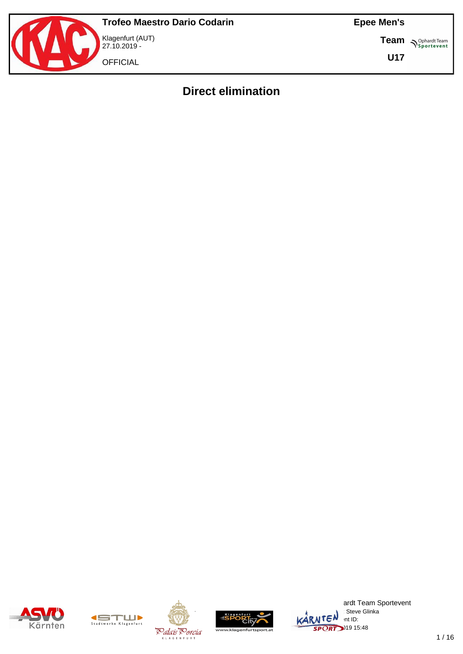

**Team S**<sup>Ophardt Team</sub></sup>

**U17**

# **Direct elimination**









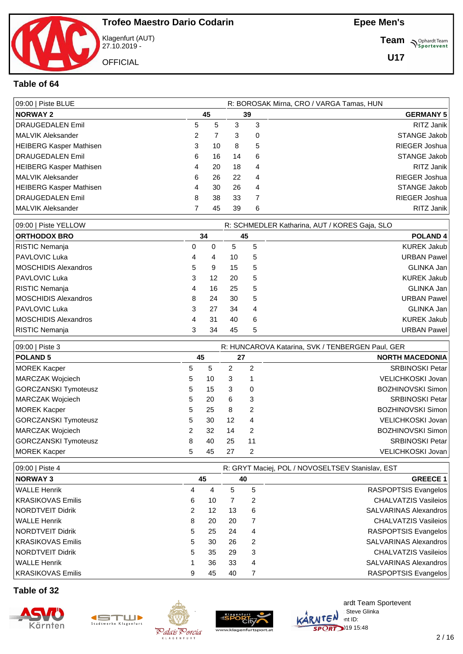

Klagenfurt (AUT) 27.10.2019 - **OFFICIAL** 

**Team** *S<sup>Ophardt Team*<br> *S*<sup>P</sup>sportevent</sup>

**U17**

#### **Table of 64**

| 09:00   Piste BLUE      |    |    |    |          | R: BOROSAK Mirna, CRO / VARGA Tamas, HUN |
|-------------------------|----|----|----|----------|------------------------------------------|
| <b>NORWAY 2</b>         | 45 |    |    | 39       | <b>GERMANY 5</b>                         |
| DRAUGEDALEN Emil        | 5  | 5  | 3  | 3        | RITZ Janik                               |
| MALVIK Aleksander       | 2  |    | 3  | $\Omega$ | STANGE Jakob                             |
| HEIBERG Kasper Mathisen | 3  | 10 | 8  | -5       | RIEGER Joshua                            |
| DRAUGEDALEN Emil        | 6  | 16 | 14 | -6       | STANGE Jakob                             |
| HEIBERG Kasper Mathisen | 4  | 20 | 18 | 4        | RITZ Janik                               |
| MALVIK Aleksander       | 6  | 26 | 22 | 4        | RIEGER Joshua                            |
| HEIBERG Kasper Mathisen | 4  | 30 | 26 | 4        | STANGE Jakob                             |
| DRAUGEDALEN Emil        | 8  | 38 | 33 |          | RIEGER Joshua                            |
| MALVIK Aleksander       |    | 45 | 39 | 6        | RITZ Janik                               |

| 09:00   Piste YELLOW                    |    |    |   | R: SCHMEDLER Katharina, AUT / KORES Gaja, SLO |
|-----------------------------------------|----|----|---|-----------------------------------------------|
| <b>ORTHODOX BRO</b><br>34               | 45 |    |   | <b>POLAND4</b>                                |
| RISTIC Nemanja<br>0<br>0                |    | 5  | 5 | <b>KUREK Jakub</b>                            |
| PAVLOVIC Luka<br>4<br>4                 |    | 10 | 5 | <b>URBAN Pawel</b>                            |
| <b>IMOSCHIDIS Alexandros</b><br>5.<br>9 |    | 15 | 5 | GLINKA Jan                                    |
| PAVLOVIC Luka<br>12<br>3                |    | 20 | 5 | <b>KUREK Jakub</b>                            |
| RISTIC Nemanja<br>4                     | 16 | 25 | 5 | GLINKA Jan                                    |
| <b>IMOSCHIDIS Alexandros</b><br>24<br>8 |    | 30 | 5 | <b>URBAN Pawel</b>                            |
| PAVLOVIC Luka<br>27<br>3                |    | 34 | 4 | GLINKA Jan                                    |
| <b>IMOSCHIDIS Alexandros</b><br>31<br>4 |    | 40 | 6 | <b>KUREK Jakub</b>                            |
| RISTIC Nemanja<br>34<br>3               |    | 45 | 5 | <b>URBAN Pawel</b>                            |

| 09:00   Piste 3             |   |    |    |               | R: HUNCAROVA Katarina, SVK / TENBERGEN Paul, GER |
|-----------------------------|---|----|----|---------------|--------------------------------------------------|
| <b>POLAND 5</b>             |   | 45 |    | 27            | <b>NORTH MACEDONIA</b>                           |
| <b>MOREK Kacper</b>         | 5 | 5  | 2  | 2             | <b>SRBINOSKI Petar</b>                           |
| MARCZAK Wojciech            | 5 | 10 | 3  |               | VELICHKOSKI Jovan                                |
| <b>GORCZANSKI Tymoteusz</b> | 5 | 15 | 3  | 0             | <b>BOZHINOVSKI Simon</b>                         |
| MARCZAK Wojciech            | 5 | 20 | 6  | 3             | <b>SRBINOSKI Petar</b>                           |
| <b>MOREK Kacper</b>         | 5 | 25 | 8  | 2             | <b>BOZHINOVSKI Simon</b>                         |
| <b>GORCZANSKI Tymoteusz</b> | 5 | 30 | 12 | 4             | <b>VELICHKOSKI Jovan</b>                         |
| MARCZAK Wojciech            | 2 | 32 | 14 | $\mathcal{P}$ | BOZHINOVSKI Simon                                |
| <b>GORCZANSKI Tymoteusz</b> | 8 | 40 | 25 | 11            | <b>SRBINOSKI Petar</b>                           |
| <b>MOREK Kacper</b>         | 5 | 45 | 27 | 2             | VELICHKOSKI Jovan                                |

| 09:00   Piste 4         |    |    |    |    | R: GRYT Maciej, POL / NOVOSELTSEV Stanislav, EST |
|-------------------------|----|----|----|----|--------------------------------------------------|
| <b>NORWAY3</b>          |    | 45 |    | 40 | <b>GREECE 1</b>                                  |
| WALLE Henrik            | 4  | 4  | 5. | 5  | RASPOPTSIS Evangelos                             |
| KRASIKOVAS Emilis       | 6  | 10 |    | 2  | CHALVATZIS Vasileios                             |
| <b>NORDTVEIT Didrik</b> | 2  | 12 | 13 | 6  | SALVARINAS Alexandros                            |
| WALLE Henrik            | 8  | 20 | 20 |    | CHALVATZIS Vasileios                             |
| NORDTVEIT Didrik        | 5. | 25 | 24 | 4  | RASPOPTSIS Evangelos                             |
| KRASIKOVAS Emilis       | 5  | 30 | 26 | 2  | SALVARINAS Alexandros                            |
| <b>NORDTVEIT Didrik</b> | 5. | 35 | 29 | 3  | CHALVATZIS Vasileios                             |
| WALLE Henrik            |    | 36 | 33 | 4  | SALVARINAS Alexandros                            |
| KRASIKOVAS Emilis       | 9  | 45 | 40 |    | RASPOPTSIS Evangelos                             |

#### **Table of 32**









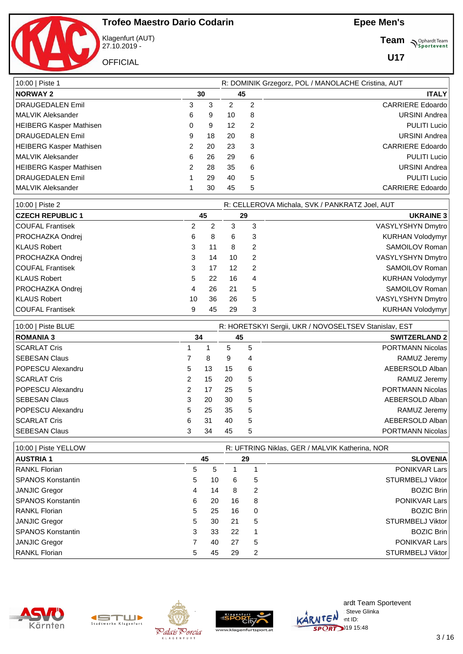



Klagenfurt (AUT) 27.10.2019 -

**OFFICIAL** 

**Team** *S<sup>Ophardt Team*<br>*S*<sup>P</sup> *Sportevent*</sup>

| 10:00   Piste 1                |    |    |                   |    | R: DOMINIK Grzegorz, POL / MANOLACHE Cristina, AUT |
|--------------------------------|----|----|-------------------|----|----------------------------------------------------|
| <b>NORWAY 2</b>                | 30 |    |                   | 45 | <b>ITALY</b>                                       |
| <b>DRAUGEDALEN Emil</b>        | 3  | 3  | 2                 | 2  | <b>CARRIERE</b> Edoardo                            |
| <b>MALVIK Aleksander</b>       | 6  | 9  | 10                | 8  | <b>URSINI Andrea</b>                               |
| HEIBERG Kasper Mathisen        | 0  | 9  | $12 \overline{ }$ | 2  | <b>PULITI Lucio</b>                                |
| <b>DRAUGEDALEN Emil</b>        | 9  | 18 | 20                | 8  | <b>URSINI Andrea</b>                               |
| <b>HEIBERG Kasper Mathisen</b> | 2  | 20 | 23                | 3  | <b>CARRIERE</b> Edoardo                            |
| MALVIK Aleksander              | 6  | 26 | 29                | 6  | <b>PULITI Lucio</b>                                |
| <b>HEIBERG Kasper Mathisen</b> | 2  | 28 | 35                | 6  | <b>URSINI Andrea</b>                               |
| <b>DRAUGEDALEN Emil</b>        |    | 29 | 40                | 5  | <b>PULITI Lucio</b>                                |
| MALVIK Aleksander              |    | 30 | 45                | 5  | <b>CARRIERE</b> Edoardo                            |

| 10:00   Piste 2         |    |    |    |   | R: CELLEROVA Michala, SVK / PANKRATZ Joel, AUT |
|-------------------------|----|----|----|---|------------------------------------------------|
| <b>CZECH REPUBLIC 1</b> |    | 45 |    |   | <b>UKRAINE 3</b>                               |
| COUFAL Frantisek        | 2  | 2  | 3  | 3 | VASYLYSHYN Dmytro                              |
| <b>PROCHAZKA Ondrej</b> | 6  | 8  | 6  | 3 | KURHAN Volodymyr                               |
| KLAUS Robert            | 3  | 11 | 8  | 2 | SAMOILOV Roman                                 |
| <b>PROCHAZKA Ondrej</b> | 3  | 14 | 10 | 2 | VASYLYSHYN Dmytro                              |
| <b>COUFAL Frantisek</b> | 3  | 17 | 12 | 2 | SAMOILOV Roman                                 |
| KLAUS Robert            | 5  | 22 | 16 | 4 | KURHAN Volodymyr                               |
| <b>PROCHAZKA Ondrej</b> | 4  | 26 | 21 | 5 | SAMOILOV Roman                                 |
| KLAUS Robert            | 10 | 36 | 26 | 5 | VASYLYSHYN Dmytro                              |
| COUFAL Frantisek        | 9  | 45 | 29 |   | KURHAN Volodymyr                               |

| 10:00   Piste BLUE   |                      |    |    |    | R: HORETSKYI Sergii, UKR / NOVOSELTSEV Stanislav, EST |
|----------------------|----------------------|----|----|----|-------------------------------------------------------|
| <b>ROMANIA 3</b>     |                      | 34 |    | 45 | <b>SWITZERLAND 2</b>                                  |
| <b>SCARLAT Cris</b>  |                      |    | 5. | 5  | <b>PORTMANN Nicolas</b>                               |
| <b>SEBESAN Claus</b> |                      | 8  | 9  | 4  | RAMUZ Jeremy                                          |
| POPESCU Alexandru    | 5                    | 13 | 15 | 6  | AEBERSOLD Alban                                       |
| <b>SCARLAT Cris</b>  | $\mathbf{2}^{\circ}$ | 15 | 20 | 5  | RAMUZ Jeremy                                          |
| POPESCU Alexandru    | $\mathcal{P}$        | 17 | 25 | 5  | <b>PORTMANN Nicolas</b>                               |
| l SEBESAN Claus      | 3                    | 20 | 30 | 5  | AEBERSOLD Alban                                       |
| POPESCU Alexandru    | 5.                   | 25 | 35 | 5  | RAMUZ Jeremy                                          |
| l SCARLAT Cris       | 6                    | 31 | 40 | 5  | AEBERSOLD Alban                                       |
| SEBESAN Claus        | 3                    | 34 | 45 | 5  | <b>PORTMANN Nicolas</b>                               |

| 10:00   Piste YELLOW     | R: UFTRING Niklas, GER / MALVIK Katherina, NOR |    |    |          |                         |  |  |  |  |  |
|--------------------------|------------------------------------------------|----|----|----------|-------------------------|--|--|--|--|--|
| AUSTRIA 1                |                                                | 45 |    | 29       | <b>SLOVENIA</b>         |  |  |  |  |  |
| RANKL Florian            | 5                                              | 5  |    |          | <b>PONIKVAR Lars</b>    |  |  |  |  |  |
| <b>SPANOS Konstantin</b> | 5                                              | 10 | 6  | 5        | STURMBELJ Viktor        |  |  |  |  |  |
| JANJIC Gregor            | 4                                              | 14 | 8  | 2        | <b>BOZIC Brin</b>       |  |  |  |  |  |
| <b>SPANOS Konstantin</b> | 6                                              | 20 | 16 | 8        | <b>PONIKVAR Lars</b>    |  |  |  |  |  |
| <b>RANKL Florian</b>     | 5                                              | 25 | 16 | $\Omega$ | <b>BOZIC Brin</b>       |  |  |  |  |  |
| JANJIC Gregor            | 5                                              | 30 | 21 | 5        | <b>STURMBELJ Viktor</b> |  |  |  |  |  |
| <b>SPANOS Konstantin</b> | 3                                              | 33 | 22 |          | <b>BOZIC Brin</b>       |  |  |  |  |  |
| JANJIC Gregor            |                                                | 40 | 27 | 5        | <b>PONIKVAR Lars</b>    |  |  |  |  |  |
| <b>RANKL Florian</b>     | 5                                              | 45 | 29 | 2        | STURMBELJ Viktor        |  |  |  |  |  |









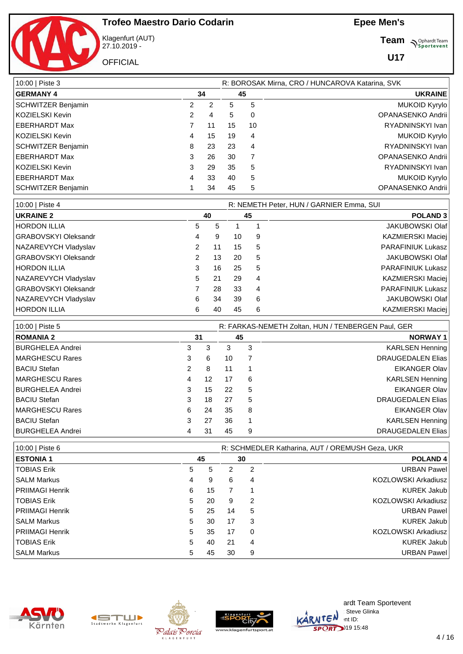

Klagenfurt (AUT) 27.10.2019 -

**OFFICIAL** 

**Team** *S<sup>Ophardt Team*<br>*S*<sup>P</sup> *Sportevent*</sup>

| 10:00   Piste 3      |    |    |    |    | R: BOROSAK Mirna, CRO / HUNCAROVA Katarina, SVK |
|----------------------|----|----|----|----|-------------------------------------------------|
| <b>GERMANY 4</b>     | 34 |    | 45 |    | <b>UKRAINE</b>                                  |
| SCHWITZER Benjamin   | 2  | 2  | 5  | 5  | <b>MUKOID Kyrylo</b>                            |
| KOZIELSKI Kevin      | 2  | 4  | 5  | 0  | OPANASENKO Andrii                               |
| EBERHARDT Max        |    | 11 | 15 | 10 | RYADNINSKYI Ivan                                |
| KOZIELSKI Kevin      | 4  | 15 | 19 | 4  | <b>MUKOID Kyrylo</b>                            |
| SCHWITZER Benjamin   | 8  | 23 | 23 | 4  | RYADNINSKYI Ivan                                |
| <b>EBERHARDT Max</b> | 3  | 26 | 30 |    | OPANASENKO Andrii                               |
| KOZIELSKI Kevin      | 3  | 29 | 35 | 5  | RYADNINSKYI Ivan                                |
| EBERHARDT Max        | 4  | 33 | 40 | 5  | <b>MUKOID Kyrylo</b>                            |
| SCHWITZER Benjamin   |    | 34 | 45 | 5  | OPANASENKO Andrii                               |

| 10:00   Piste 4      |   |    |    |   | R: NEMETH Peter, HUN / GARNIER Emma, SUI |  |
|----------------------|---|----|----|---|------------------------------------------|--|
| <b>UKRAINE 2</b>     |   | 40 | 45 |   | <b>POLAND 3</b>                          |  |
| <b>HORDON ILLIA</b>  | 5 | 5  |    |   | <b>JAKUBOWSKI Olaf</b>                   |  |
| GRABOVSKYI Oleksandr | 4 | 9  | 10 | 9 | <b>KAZMIERSKI Maciej</b>                 |  |
| NAZAREVYCH Vladyslav | 2 |    | 15 | 5 | <b>PARAFINIUK Lukasz</b>                 |  |
| GRABOVSKYI Oleksandr | 2 | 13 | 20 | 5 | <b>JAKUBOWSKI Olaf</b>                   |  |
| <b>HORDON ILLIA</b>  | 3 | 16 | 25 | 5 | <b>PARAFINIUK Lukasz</b>                 |  |
| NAZAREVYCH Vladyslav | 5 | 21 | 29 | 4 | <b>KAZMIERSKI Maciej</b>                 |  |
| GRABOVSKYI Oleksandr |   | 28 | 33 | 4 | <b>PARAFINIUK Lukasz</b>                 |  |
| NAZAREVYCH Vladyslav | 6 | 34 | 39 | 6 | <b>JAKUBOWSKI Olaf</b>                   |  |
| <b>HORDON ILLIA</b>  | 6 | 40 | 45 | 6 | <b>KAZMIERSKI Maciej</b>                 |  |

| 10:00   Piste 5     |                | R: FARKAS-NEMETH Zoltan, HUN / TENBERGEN Paul, GER |    |    |                          |  |  |  |  |  |
|---------------------|----------------|----------------------------------------------------|----|----|--------------------------|--|--|--|--|--|
| <b>ROMANIA 2</b>    |                | 31                                                 |    | 45 | <b>NORWAY1</b>           |  |  |  |  |  |
| BURGHELEA Andrei    | 3              | 3                                                  | 3  | 3  | <b>KARLSEN Henning</b>   |  |  |  |  |  |
| MARGHESCU Rares     | 3              | 6                                                  | 10 |    | <b>DRAUGEDALEN Elias</b> |  |  |  |  |  |
| <b>BACIU Stefan</b> | $\overline{2}$ | 8                                                  | 11 |    | <b>EIKANGER Olav</b>     |  |  |  |  |  |
| MARGHESCU Rares     | 4              | 12                                                 | 17 | 6  | KARLSEN Henning          |  |  |  |  |  |
| BURGHELEA Andrei    | 3              | 15                                                 | 22 | 5  | <b>EIKANGER Olav</b>     |  |  |  |  |  |
| BACIU Stefan        | 3              | 18                                                 | 27 | 5  | <b>DRAUGEDALEN Elias</b> |  |  |  |  |  |
| MARGHESCU Rares     | 6              | 24                                                 | 35 | 8  | <b>EIKANGER Olav</b>     |  |  |  |  |  |
| <b>BACIU Stefan</b> | 3              | 27                                                 | 36 | 1  | <b>KARLSEN Henning</b>   |  |  |  |  |  |
| BURGHELEA Andrei    | 4              | 31                                                 | 45 | 9  | <b>DRAUGEDALEN Elias</b> |  |  |  |  |  |

| 10:00   Piste 6        |   |    |    | R: SCHMEDLER Katharina, AUT / OREMUSH Geza, UKR |                            |  |  |  |  |  |
|------------------------|---|----|----|-------------------------------------------------|----------------------------|--|--|--|--|--|
| <b>ESTONIA 1</b>       |   | 45 |    | 30                                              | <b>POLAND4</b>             |  |  |  |  |  |
| <b>TOBIAS Erik</b>     | 5 | 5  | 2  | 2                                               | <b>URBAN Pawel</b>         |  |  |  |  |  |
| l SALM Markus          | 4 | 9  | 6  | 4                                               | <b>KOZLOWSKI Arkadiusz</b> |  |  |  |  |  |
| PRIIMAGI Henrik        | 6 | 15 |    |                                                 | <b>KUREK Jakub</b>         |  |  |  |  |  |
| <b>TOBIAS Erik</b>     | 5 | 20 | 9  | 2                                               | <b>KOZLOWSKI Arkadiusz</b> |  |  |  |  |  |
| PRIIMAGI Henrik        | 5 | 25 | 14 | 5                                               | <b>URBAN Pawel</b>         |  |  |  |  |  |
| ISALM Markus           | 5 | 30 | 17 | 3                                               | <b>KUREK Jakub</b>         |  |  |  |  |  |
| <b>PRIIMAGI Henrik</b> | 5 | 35 | 17 | 0                                               | KOZLOWSKI Arkadiusz        |  |  |  |  |  |
| <b>TOBIAS Erik</b>     | 5 | 40 | 21 | 4                                               | <b>KUREK Jakub</b>         |  |  |  |  |  |
| ISALM Markus           | 5 | 45 | 30 | 9                                               | <b>URBAN Pawel</b>         |  |  |  |  |  |









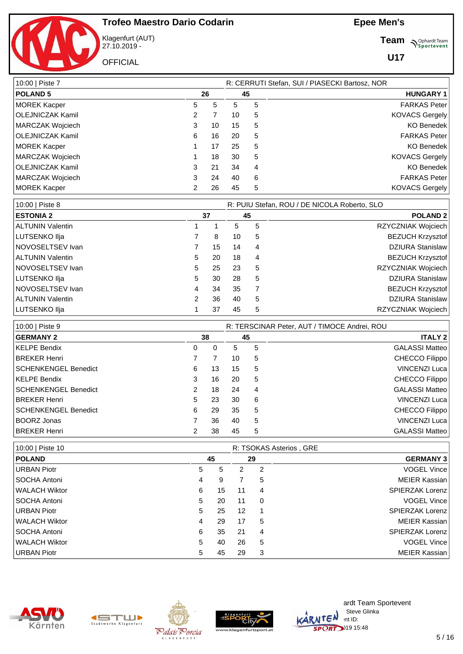

Klagenfurt (AUT) 27.10.2019 -

**OFFICIAL** 

**Team** *S<sup>Ophardt Team*<br>*S*<sup>P</sup> *Sportevent*</sup>

| 10:00   Piste 7  | R: CERRUTI Stefan, SUI / PIASECKI Bartosz, NOR |    |    |                  |                       |  |  |  |  |  |
|------------------|------------------------------------------------|----|----|------------------|-----------------------|--|--|--|--|--|
| <b>POLAND 5</b>  | 26                                             | 45 |    | <b>HUNGARY 1</b> |                       |  |  |  |  |  |
| MOREK Kacper     | 5                                              | 5  | 5  | 5                | <b>FARKAS Peter</b>   |  |  |  |  |  |
| OLEJNICZAK Kamil | 2                                              | 7  | 10 | 5                | <b>KOVACS Gergely</b> |  |  |  |  |  |
| MARCZAK Wojciech | 3                                              | 10 | 15 | 5                | <b>KO Benedek</b>     |  |  |  |  |  |
| OLEJNICZAK Kamil | 6                                              | 16 | 20 | 5                | <b>FARKAS Peter</b>   |  |  |  |  |  |
| MOREK Kacper     |                                                | 17 | 25 | 5                | <b>KO Benedek</b>     |  |  |  |  |  |
| MARCZAK Wojciech |                                                | 18 | 30 | 5                | <b>KOVACS Gergely</b> |  |  |  |  |  |
| OLEJNICZAK Kamil | 3                                              | 21 | 34 | 4                | <b>KO Benedek</b>     |  |  |  |  |  |
| MARCZAK Wojciech | 3                                              | 24 | 40 | 6                | <b>FARKAS Peter</b>   |  |  |  |  |  |
| MOREK Kacper     | 2                                              | 26 | 45 | 5                | <b>KOVACS Gergely</b> |  |  |  |  |  |

| 10:00   Piste 8  |   | R: PUIU Stefan, ROU / DE NICOLA Roberto, SLO |    |   |                         |  |  |  |  |  |  |  |
|------------------|---|----------------------------------------------|----|---|-------------------------|--|--|--|--|--|--|--|
| <b>ESTONIA 2</b> |   | 37                                           |    |   | <b>POLAND 2</b>         |  |  |  |  |  |  |  |
| ALTUNIN Valentin |   |                                              | 5  | 5 | RZYCZNIAK Wojciech      |  |  |  |  |  |  |  |
| LUTSENKO Ilja    |   | 8                                            | 10 | 5 | <b>BEZUCH Krzysztof</b> |  |  |  |  |  |  |  |
| NOVOSELTSEV Ivan |   | 15                                           | 14 | 4 | <b>DZIURA Stanislaw</b> |  |  |  |  |  |  |  |
| ALTUNIN Valentin | 5 | 20                                           | 18 | 4 | <b>BEZUCH Krzysztof</b> |  |  |  |  |  |  |  |
| NOVOSELTSEV Ivan | 5 | 25                                           | 23 | 5 | RZYCZNIAK Wojciech      |  |  |  |  |  |  |  |
| LUTSENKO Ilja    | 5 | 30                                           | 28 | 5 | <b>DZIURA Stanislaw</b> |  |  |  |  |  |  |  |
| NOVOSELTSEV Ivan | 4 | 34                                           | 35 |   | <b>BEZUCH Krzysztof</b> |  |  |  |  |  |  |  |
| ALTUNIN Valentin | 2 | 36                                           | 40 | 5 | <b>DZIURA Stanislaw</b> |  |  |  |  |  |  |  |
| LUTSENKO Ilja    |   | 37                                           | 45 | 5 | RZYCZNIAK Wojciech      |  |  |  |  |  |  |  |

| 10:00   Piste 9      |               | R: TERSCINAR Peter, AUT / TIMOCE Andrei, ROU |    |    |                       |
|----------------------|---------------|----------------------------------------------|----|----|-----------------------|
| <b>GERMANY 2</b>     |               | 38                                           |    | 45 | <b>ITALY 2</b>        |
| KELPE Bendix         | 0             | 0                                            | 5  | 5  | <b>GALASSI Matteo</b> |
| BREKER Henri         |               |                                              | 10 | 5  | CHECCO Filippo        |
| SCHENKENGEL Benedict | 6             | 13                                           | 15 | 5  | <b>VINCENZI Luca</b>  |
| KELPE Bendix         | 3             | 16                                           | 20 | 5  | CHECCO Filippo        |
| SCHENKENGEL Benedict | $\mathcal{P}$ | 18                                           | 24 | 4  | <b>GALASSI Matteo</b> |
| <b>BREKER Henri</b>  | 5             | 23                                           | 30 | 6  | <b>VINCENZI Luca</b>  |
| SCHENKENGEL Benedict | 6             | 29                                           | 35 | 5  | CHECCO Filippo        |
| BOORZ Jonas          |               | 36                                           | 40 | 5  | <b>VINCENZI Luca</b>  |
| BREKER Henri         |               | 38                                           | 45 | 5  | <b>GALASSI Matteo</b> |

| 10:00   Piste 10     |    | R: TSOKAS Asterios, GRE |    |          |                  |  |  |  |
|----------------------|----|-------------------------|----|----------|------------------|--|--|--|
| <b>POLAND</b>        |    | 45                      | 29 |          | <b>GERMANY 3</b> |  |  |  |
| URBAN Piotr          | 5  | 5                       | 2  | 2        | VOGEL Vince      |  |  |  |
| SOCHA Antoni         | 4  | 9                       | 7  | 5        | MEIER Kassian    |  |  |  |
| WALACH Wiktor        | 6  | 15                      | 11 | 4        | SPIERZAK Lorenz  |  |  |  |
| <b>SOCHA Antoni</b>  | 5  | 20                      | 11 | $\Omega$ | VOGEL Vince      |  |  |  |
| URBAN Piotr          | 5. | 25                      | 12 | -1       | SPIERZAK Lorenz  |  |  |  |
| WALACH Wiktor        | 4  | 29                      | 17 | 5        | MEIER Kassian    |  |  |  |
| <b>SOCHA Antoni</b>  | 6  | 35                      | 21 | 4        | SPIERZAK Lorenz  |  |  |  |
| <b>WALACH Wiktor</b> | 5. | 40                      | 26 | 5        | VOGEL Vince      |  |  |  |
| URBAN Piotr          | 5  | 45                      | 29 | 3        | MEIER Kassian    |  |  |  |









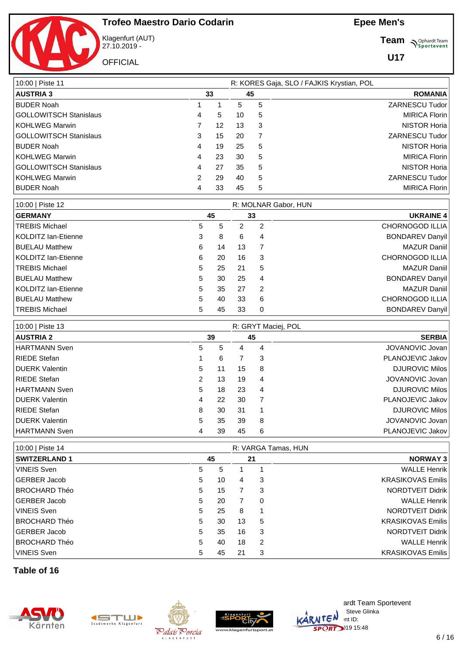

Klagenfurt (AUT) 27.10.2019 -

**OFFICIAL** 

**Team** *S<sup>Ophardt Team*<br> *S*<sup>P</sup>sportevent</sup>

**U17**

| 10:00   Piste 11                      | R: KORES Gaja, SLO / FAJKIS Krystian, POL |   |                       |  |  |  |  |
|---------------------------------------|-------------------------------------------|---|-----------------------|--|--|--|--|
| <b>AUSTRIA 3</b><br>33                | 45                                        |   | <b>ROMANIA</b>        |  |  |  |  |
| <b>BUDER Noah</b>                     | 5                                         | 5 | <b>ZARNESCU Tudor</b> |  |  |  |  |
| GOLLOWITSCH Stanislaus<br>5<br>4      | 10                                        | 5 | <b>MIRICA Florin</b>  |  |  |  |  |
| KOHLWEG Marwin<br>12                  | 13                                        | 3 | <b>NISTOR Horia</b>   |  |  |  |  |
| GOLLOWITSCH Stanislaus<br>15<br>3     | 20                                        | 7 | <b>ZARNESCU Tudor</b> |  |  |  |  |
| <b>BUDER Noah</b><br>19<br>4          | 25                                        | 5 | <b>NISTOR Horia</b>   |  |  |  |  |
| KOHLWEG Marwin<br>23<br>4             | 30                                        | 5 | <b>MIRICA Florin</b>  |  |  |  |  |
| GOLLOWITSCH Stanislaus<br>27<br>4     | 35                                        | 5 | <b>NISTOR Horia</b>   |  |  |  |  |
| KOHLWEG Marwin<br>$\mathcal{P}$<br>29 | 40                                        | 5 | <b>ZARNESCU Tudor</b> |  |  |  |  |
| <b>BUDER Noah</b><br>33<br>4          | 45                                        | 5 | <b>MIRICA Florin</b>  |  |  |  |  |

| 10:00   Piste 12      |   |    |    |   | R: MOLNAR Gabor, HUN   |
|-----------------------|---|----|----|---|------------------------|
| <b>GERMANY</b>        |   | 45 |    |   | <b>UKRAINE 4</b>       |
| TREBIS Michael        | 5 | 5  | 2  | 2 | CHORNOGOD ILLIA        |
| KOLDITZ lan-Etienne   | 3 | 8  | 6  | 4 | <b>BONDAREV Danyil</b> |
| <b>BUELAU Matthew</b> | 6 | 14 | 13 | 7 | <b>MAZUR Daniil</b>    |
| KOLDITZ lan-Etienne   | 6 | 20 | 16 | 3 | CHORNOGOD ILLIA        |
| TREBIS Michael        | 5 | 25 | 21 | 5 | <b>MAZUR Daniil</b>    |
| <b>BUELAU Matthew</b> | 5 | 30 | 25 | 4 | <b>BONDAREV Danyil</b> |
| KOLDITZ lan-Etienne   | 5 | 35 | 27 | 2 | <b>MAZUR Daniil</b>    |
| <b>BUELAU Matthew</b> | 5 | 40 | 33 | 6 | <b>CHORNOGOD ILLIA</b> |
| TREBIS Michael        | 5 | 45 | 33 | 0 | <b>BONDAREV Danyil</b> |

| 10:00   Piste 13      |    |    |    | R: GRYT Maciej, POL |                       |
|-----------------------|----|----|----|---------------------|-----------------------|
| <b>AUSTRIA 2</b>      | 39 |    | 45 |                     | <b>SERBIA</b>         |
| HARTMANN Sven         | 5  | 5  | 4  | 4                   | JOVANOVIC Jovan       |
| RIEDE Stefan          |    | 6  |    | 3                   | PLANOJEVIC Jakov      |
| <b>DUERK Valentin</b> | 5  | 11 | 15 | 8                   | <b>DJUROVIC Milos</b> |
| RIEDE Stefan          | 2  | 13 | 19 | 4                   | JOVANOVIC Jovan       |
| HARTMANN Sven         | 5  | 18 | 23 | 4                   | <b>DJUROVIC Milos</b> |
| <b>DUERK Valentin</b> | 4  | 22 | 30 | 7                   | PLANOJEVIC Jakov      |
| RIEDE Stefan          | 8  | 30 | 31 | 1                   | <b>DJUROVIC Milos</b> |
| DUERK Valentin        | 5  | 35 | 39 | 8                   | JOVANOVIC Jovan       |
| HARTMANN Sven         |    | 39 | 45 | 6                   | PLANOJEVIC Jakov      |

| 10:00   Piste 14     |   |    |    |    | R: VARGA Tamas, HUN      |
|----------------------|---|----|----|----|--------------------------|
| <b>SWITZERLAND 1</b> |   | 45 |    | 21 | <b>NORWAY 3</b>          |
| <b>VINEIS Sven</b>   | 5 | 5  |    |    | <b>WALLE Henrik</b>      |
| GERBER Jacob         | 5 | 10 | 4  | 3  | <b>KRASIKOVAS Emilis</b> |
| BROCHARD Théo        | 5 | 15 | 7  | 3  | NORDTVEIT Didrik         |
| GERBER Jacob         | 5 | 20 |    | 0  | <b>WALLE Henrik</b>      |
| VINEIS Sven          | 5 | 25 | 8  |    | NORDTVEIT Didrik         |
| BROCHARD Théo        | 5 | 30 | 13 | 5  | <b>KRASIKOVAS Emilis</b> |
| GERBER Jacob         | 5 | 35 | 16 | 3  | NORDTVEIT Didrik         |
| BROCHARD Théo        | 5 | 40 | 18 | 2  | <b>WALLE Henrik</b>      |
| <b>VINEIS Sven</b>   | 5 | 45 | 21 | 3  | <b>KRASIKOVAS Emilis</b> |

**Table of 16**









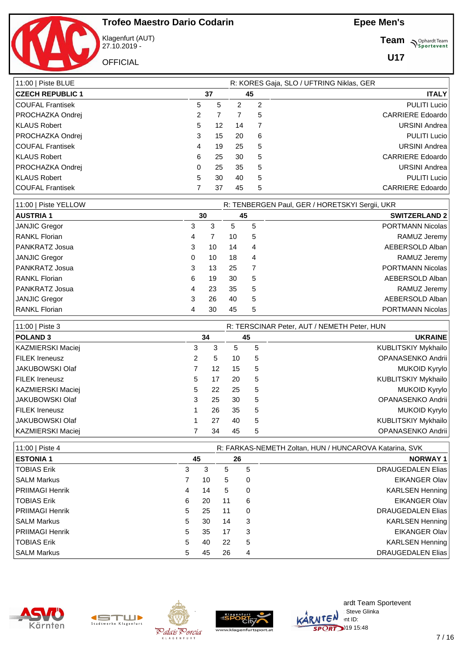

Klagenfurt (AUT) 27.10.2019 -

**OFFICIAL** 

**Team** *S<sup>Ophardt Team*<br>*S*<sup>P</sup> *Sportevent*</sup>

| 11:00   Piste BLUE      |   | R: KORES Gaja, SLO / UFTRING Niklas, GER |    |    |                         |  |  |  |  |  |
|-------------------------|---|------------------------------------------|----|----|-------------------------|--|--|--|--|--|
| <b>CZECH REPUBLIC 1</b> |   | 37                                       |    | 45 | <b>ITALY</b>            |  |  |  |  |  |
| COUFAL Frantisek        | 5 | 5                                        | 2  | 2  | <b>PULITI Lucio</b>     |  |  |  |  |  |
| PROCHAZKA Ondrej        | 2 |                                          |    | 5  | <b>CARRIERE</b> Edoardo |  |  |  |  |  |
| KLAUS Robert            | 5 | 12                                       | 14 |    | <b>URSINI Andrea</b>    |  |  |  |  |  |
| PROCHAZKA Ondrej        | 3 | 15                                       | 20 | 6  | <b>PULITI Lucio</b>     |  |  |  |  |  |
| COUFAL Frantisek        | 4 | 19                                       | 25 | 5  | <b>URSINI Andrea</b>    |  |  |  |  |  |
| KLAUS Robert            | 6 | 25                                       | 30 | 5  | <b>CARRIERE</b> Edoardo |  |  |  |  |  |
| PROCHAZKA Ondrej        | 0 | 25                                       | 35 | 5  | <b>URSINI Andrea</b>    |  |  |  |  |  |
| KLAUS Robert            | 5 | 30                                       | 40 | 5  | <b>PULITI Lucio</b>     |  |  |  |  |  |
| COUFAL Frantisek        |   | 37                                       | 45 | 5  | <b>CARRIERE</b> Edoardo |  |  |  |  |  |

| 11:00   Piste YELLOW |   |    |    | R: TENBERGEN Paul, GER / HORETSKYI Sergii, UKR |                         |
|----------------------|---|----|----|------------------------------------------------|-------------------------|
| <b>AUSTRIA 1</b>     |   | 30 | 45 |                                                | <b>SWITZERLAND 2</b>    |
| <b>JANJIC Gregor</b> | 3 | 3  | 5  | 5                                              | PORTMANN Nicolas        |
| <b>RANKL Florian</b> | 4 |    | 10 | 5                                              | RAMUZ Jeremy            |
| PANKRATZ Josua       | 3 | 10 | 14 | 4                                              | AEBERSOLD Alban         |
| JANJIC Gregor        | 0 | 10 | 18 | 4                                              | RAMUZ Jeremy            |
| PANKRATZ Josua       | 3 | 13 | 25 |                                                | <b>PORTMANN Nicolas</b> |
| <b>RANKL Florian</b> | 6 | 19 | 30 | 5                                              | AEBERSOLD Alban         |
| PANKRATZ Josua       | 4 | 23 | 35 | 5                                              | RAMUZ Jeremy            |
| JANJIC Gregor        | 3 | 26 | 40 | 5                                              | AEBERSOLD Alban         |
| <b>RANKL Florian</b> | 4 | 30 | 45 | 5                                              | <b>PORTMANN Nicolas</b> |

| 11:00   Piste 3   |   |    |    |   | R: TERSCINAR Peter, AUT / NEMETH Peter, HUN |
|-------------------|---|----|----|---|---------------------------------------------|
| <b>POLAND 3</b>   |   | 34 |    |   | <b>UKRAINE</b>                              |
| KAZMIERSKI Maciej | 3 | 3  | 5  | 5 | <b>KUBLITSKIY Mykhailo</b>                  |
| FILEK Ireneusz    | 2 | 5  | 10 | 5 | OPANASENKO Andrii                           |
| l JAKUBOWSKI Olaf |   | 12 | 15 | 5 | <b>MUKOID Kyrylo</b>                        |
| FILEK Ireneusz    | 5 | 17 | 20 | 5 | KUBLITSKIY Mykhailo                         |
| KAZMIERSKI Maciej | 5 | 22 | 25 | 5 | <b>MUKOID Kyrylo</b>                        |
| I JAKUBOWSKI Olaf | 3 | 25 | 30 | 5 | OPANASENKO Andrii                           |
| FILEK Ireneusz    |   | 26 | 35 | 5 | <b>MUKOID Kyrylo</b>                        |
| JAKUBOWSKI Olaf   |   | 27 | 40 | 5 | KUBLITSKIY Mykhailo                         |
| KAZMIERSKI Maciej |   | 34 | 45 | 5 | OPANASENKO Andrii                           |

| 11:00   Piste 4        |    |    |    |    | R: FARKAS-NEMETH Zoltan, HUN / HUNCAROVA Katarina, SVK |
|------------------------|----|----|----|----|--------------------------------------------------------|
| <b>ESTONIA 1</b>       |    | 45 |    | 26 | <b>NORWAY1</b>                                         |
| TOBIAS Erik            | 3  | 3  | 5  | 5  | <b>DRAUGEDALEN Elias</b>                               |
| ISALM Markus           |    | 10 | 5  | 0  | <b>EIKANGER Olav</b>                                   |
| <b>PRIIMAGI Henrik</b> | 4  | 14 | 5  | 0  | <b>KARLSEN Henning</b>                                 |
| TOBIAS Erik            | 6  | 20 | 11 | 6  | <b>EIKANGER Olav</b>                                   |
| PRIIMAGI Henrik        | 5  | 25 | 11 | 0  | <b>DRAUGEDALEN Elias</b>                               |
| ISALM Markus           | 5  | 30 | 14 | 3  | <b>KARLSEN Henning</b>                                 |
| <b>PRIIMAGI Henrik</b> | 5  | 35 | 17 | 3  | <b>EIKANGER Olav</b>                                   |
| TOBIAS Erik            | 5. | 40 | 22 | 5  | <b>KARLSEN Henning</b>                                 |
| ISALM Markus           | 5. | 45 | 26 | 4  | <b>DRAUGEDALEN Elias</b>                               |









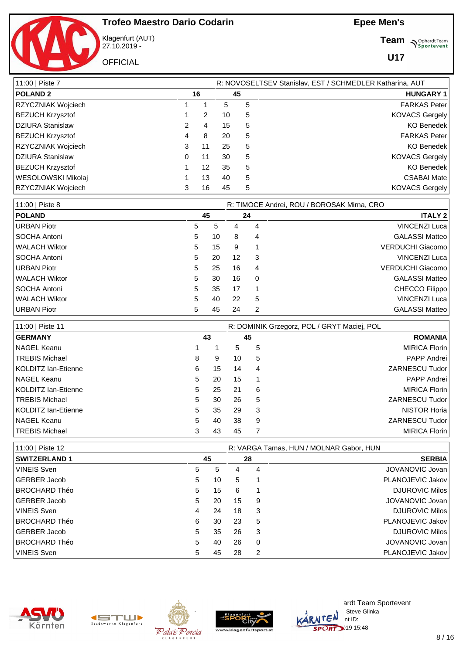

Klagenfurt (AUT) 27.10.2019 -

**OFFICIAL** 

**Team** *S<sup>Ophardt Team*<br>*S*<sup>P</sup> *Sportevent*</sup>

| 11:00   Piste 7         |   |               |    |    | R: NOVOSELTSEV Stanislav, EST / SCHMEDLER Katharina, AUT |
|-------------------------|---|---------------|----|----|----------------------------------------------------------|
| <b>POLAND 2</b>         |   | 16            |    | 45 | <b>HUNGARY 1</b>                                         |
| RZYCZNIAK Wojciech      |   |               | 5  | 5  | <b>FARKAS Peter</b>                                      |
| <b>BEZUCH Krzysztof</b> |   | $\mathcal{P}$ | 10 | 5  | <b>KOVACS Gergely</b>                                    |
| DZIURA Stanislaw        | 2 | 4             | 15 | 5  | <b>KO Benedek</b>                                        |
| <b>BEZUCH Krzysztof</b> | 4 | 8             | 20 | 5  | <b>FARKAS Peter</b>                                      |
| RZYCZNIAK Wojciech      | 3 | 11            | 25 | 5  | KO Benedek                                               |
| DZIURA Stanislaw        | 0 | 11            | 30 | 5  | <b>KOVACS Gergely</b>                                    |
| <b>BEZUCH Krzysztof</b> |   | 12            | 35 | 5  | <b>KO Benedek</b>                                        |
| WESOLOWSKI Mikolaj      |   | 13            | 40 | 5  | <b>CSABAI Mate</b>                                       |
| RZYCZNIAK Wojciech      | 3 | 16            | 45 | 5  | <b>KOVACS Gergely</b>                                    |

| 11:00   Piste 8     | R: TIMOCE Andrei, ROU / BOROSAK Mirna, CRO |    |    |          |                       |  |  |  |  |
|---------------------|--------------------------------------------|----|----|----------|-----------------------|--|--|--|--|
| <b>POLAND</b>       |                                            | 45 |    | 24       | <b>ITALY 2</b>        |  |  |  |  |
| URBAN Piotr         | 5                                          | 5  | 4  | 4        | VINCENZI Luca         |  |  |  |  |
| <b>SOCHA Antoni</b> | 5                                          | 10 | 8  | 4        | <b>GALASSI Matteo</b> |  |  |  |  |
| WALACH Wiktor       | 5                                          | 15 | 9  |          | VERDUCHI Giacomo      |  |  |  |  |
| <b>SOCHA Antoni</b> | 5                                          | 20 | 12 | 3        | VINCENZI Luca         |  |  |  |  |
| URBAN Piotr         | 5                                          | 25 | 16 | 4        | VERDUCHI Giacomo      |  |  |  |  |
| WALACH Wiktor       | 5                                          | 30 | 16 | $\Omega$ | <b>GALASSI Matteo</b> |  |  |  |  |
| <b>SOCHA Antoni</b> | 5                                          | 35 | 17 |          | CHECCO Filippo        |  |  |  |  |
| WALACH Wiktor       | 5                                          | 40 | 22 | 5        | VINCENZI Luca         |  |  |  |  |
| URBAN Piotr         | 5                                          | 45 | 24 | 2        | <b>GALASSI Matteo</b> |  |  |  |  |

| 11:00   Piste 11    |   | R: DOMINIK Grzegorz, POL / GRYT Maciej, POL |    |   |                       |  |  |  |  |  |  |
|---------------------|---|---------------------------------------------|----|---|-----------------------|--|--|--|--|--|--|
| <b>GERMANY</b>      |   | 43                                          | 45 |   | <b>ROMANIA</b>        |  |  |  |  |  |  |
| NAGEL Keanu         |   |                                             | 5  | 5 | <b>MIRICA Florin</b>  |  |  |  |  |  |  |
| TREBIS Michael      | 8 | 9                                           | 10 | 5 | <b>PAPP Andrei</b>    |  |  |  |  |  |  |
| KOLDITZ lan-Etienne | 6 | 15                                          | 14 | 4 | <b>ZARNESCU Tudor</b> |  |  |  |  |  |  |
| NAGEL Keanu         | 5 | 20                                          | 15 | 1 | <b>PAPP Andrei</b>    |  |  |  |  |  |  |
| KOLDITZ lan-Etienne | 5 | 25                                          | 21 | 6 | <b>MIRICA Florin</b>  |  |  |  |  |  |  |
| TREBIS Michael      | 5 | 30                                          | 26 | 5 | <b>ZARNESCU Tudor</b> |  |  |  |  |  |  |
| KOLDITZ lan-Etienne | 5 | 35                                          | 29 | 3 | <b>NISTOR Horia</b>   |  |  |  |  |  |  |
| NAGEL Keanu         | 5 | 40                                          | 38 | 9 | <b>ZARNESCU Tudor</b> |  |  |  |  |  |  |
| TREBIS Michael      | 3 | 43                                          | 45 |   | <b>MIRICA Florin</b>  |  |  |  |  |  |  |

| 11:00   Piste 12     |    |    | R: VARGA Tamas, HUN / MOLNAR Gabor, HUN |               |                       |  |  |  |  |
|----------------------|----|----|-----------------------------------------|---------------|-----------------------|--|--|--|--|
| <b>SWITZERLAND 1</b> | 45 |    | 28                                      | <b>SERBIA</b> |                       |  |  |  |  |
| <b>VINEIS Sven</b>   | 5  | 5. | 4                                       | 4             | JOVANOVIC Jovan       |  |  |  |  |
| GERBER Jacob         | 5  | 10 | 5                                       |               | PLANOJEVIC Jakov      |  |  |  |  |
| BROCHARD Théo        | 5  | 15 | 6                                       |               | <b>DJUROVIC Milos</b> |  |  |  |  |
| GERBER Jacob         | 5  | 20 | 15                                      | 9             | JOVANOVIC Jovan       |  |  |  |  |
| VINEIS Sven          | 4  | 24 | 18                                      | 3             | <b>DJUROVIC Milos</b> |  |  |  |  |
| BROCHARD Théo        | 6  | 30 | 23                                      | 5             | PLANOJEVIC Jakov      |  |  |  |  |
| GERBER Jacob         | 5  | 35 | 26                                      | 3             | <b>DJUROVIC Milos</b> |  |  |  |  |
| BROCHARD Théo        | 5  | 40 | 26                                      | $\Omega$      | JOVANOVIC Jovan       |  |  |  |  |
| <b>VINEIS Sven</b>   | 5  | 45 | 28                                      | 2             | PLANOJEVIC Jakov      |  |  |  |  |









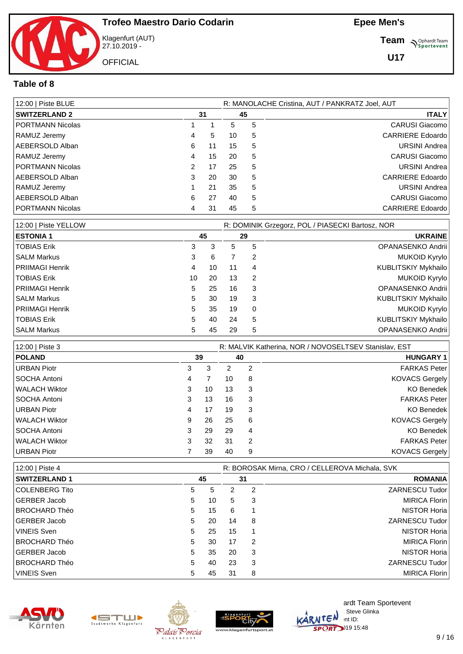

Klagenfurt (AUT) 27.10.2019 - **OFFICIAL** 

**Team** *S<sup>Ophardt Team*<br>*S*<sup>P</sup> *Sportevent*</sup>

**U17**

#### **Table of 8**

| 12:00   Piste BLUE   |               |    |    |    | R: MANOLACHE Cristina, AUT / PANKRATZ Joel, AUT |
|----------------------|---------------|----|----|----|-------------------------------------------------|
| <b>SWITZERLAND 2</b> |               | 31 |    | 45 | <b>ITALY</b>                                    |
| PORTMANN Nicolas     |               |    | 5  | 5  | CARUSI Giacomo                                  |
| RAMUZ Jeremy         | 4             | 5  | 10 | 5  | <b>CARRIERE Edoardo</b>                         |
| AEBERSOLD Alban      | 6             | 11 | 15 | 5  | <b>URSINI Andrea</b>                            |
| RAMUZ Jeremy         | 4             | 15 | 20 | 5  | <b>CARUSI Giacomo</b>                           |
| PORTMANN Nicolas     | $\mathcal{P}$ | 17 | 25 | 5  | <b>URSINI Andrea</b>                            |
| AEBERSOLD Alban      | 3             | 20 | 30 | 5  | <b>CARRIERE Edoardo</b>                         |
| RAMUZ Jeremy         |               | 21 | 35 | 5  | <b>URSINI Andrea</b>                            |
| AEBERSOLD Alban      | 6             | 27 | 40 | 5  | CARUSI Giacomo                                  |
| PORTMANN Nicolas     | 4             | 31 | 45 | 5  | <b>CARRIERE</b> Edoardo                         |

| 12:00   Piste YELLOW   |    |    |    |    | R: DOMINIK Grzegorz, POL / PIASECKI Bartosz, NOR |
|------------------------|----|----|----|----|--------------------------------------------------|
| <b>ESTONIA 1</b>       | 45 |    |    | 29 | <b>UKRAINE</b>                                   |
| TOBIAS Erik            | 3  | 3  | 5  | 5  | OPANASENKO Andrii                                |
| SALM Markus            | 3  | 6  |    | 2  | <b>MUKOID Kyrylo</b>                             |
| <b>PRIIMAGI Henrik</b> | 4  | 10 | 11 | 4  | KUBLITSKIY Mykhailo                              |
| TOBIAS Erik            | 10 | 20 | 13 | 2  | <b>MUKOID Kyrylo</b>                             |
| <b>PRIIMAGI Henrik</b> | 5. | 25 | 16 | 3  | OPANASENKO Andrii                                |
| SALM Markus            | 5. | 30 | 19 | 3  | KUBLITSKIY Mykhailo                              |
| <b>PRIIMAGI Henrik</b> | 5. | 35 | 19 | 0  | <b>MUKOID Kyrylo</b>                             |
| TOBIAS Erik            | 5. | 40 | 24 | 5  | KUBLITSKIY Mykhailo                              |
| ISALM Markus           | 5  | 45 | 29 | 5  | OPANASENKO Andrii                                |

| 12:00   Piste 3    |   |    |    |    | R: MALVIK Katherina, NOR / NOVOSELTSEV Stanislav, EST |  |
|--------------------|---|----|----|----|-------------------------------------------------------|--|
| <b>POLAND</b>      |   | 39 |    | 40 | <b>HUNGARY 1</b>                                      |  |
| <b>URBAN Piotr</b> | 3 | 3  | 2  | 2  | <b>FARKAS Peter</b>                                   |  |
| l SOCHA Antoni     | 4 |    | 10 | 8  | <b>KOVACS Gergely</b>                                 |  |
| WALACH Wiktor      | 3 | 10 | 13 | 3  | <b>KO Benedek</b>                                     |  |
| l SOCHA Antoni     | 3 | 13 | 16 | 3  | <b>FARKAS Peter</b>                                   |  |
| URBAN Piotr        | 4 | 17 | 19 | 3  | KO Benedek                                            |  |
| l WALACH Wiktor    | 9 | 26 | 25 | 6  | <b>KOVACS Gergely</b>                                 |  |
| l SOCHA Antoni     | 3 | 29 | 29 | 4  | <b>KO Benedek</b>                                     |  |
| WALACH Wiktor      | 3 | 32 | 31 | 2  | <b>FARKAS Peter</b>                                   |  |
| URBAN Piotr        |   | 39 | 40 | 9  | <b>KOVACS Gergely</b>                                 |  |

| 12:00   Piste 4      |   |    |    |    | R: BOROSAK Mirna, CRO / CELLEROVA Michala, SVK |
|----------------------|---|----|----|----|------------------------------------------------|
| <b>SWITZERLAND 1</b> |   | 45 |    | 31 | <b>ROMANIA</b>                                 |
| COLENBERG Tito       | 5 | 5  |    | 2  | ZARNESCU Tudor                                 |
| GERBER Jacob         | 5 | 10 | 5  | 3  | MIRICA Florin                                  |
| BROCHARD Théo        | 5 | 15 | 6  |    | NISTOR Horia                                   |
| GERBER Jacob         | 5 | 20 | 14 | 8  | ZARNESCU Tudor                                 |
| VINEIS Sven          | 5 | 25 | 15 |    | NISTOR Horia                                   |
| BROCHARD Théo        | 5 | 30 | 17 | 2  | MIRICA Florin                                  |
| GERBER Jacob         | 5 | 35 | 20 | 3  | NISTOR Horia                                   |
| BROCHARD Théo        | 5 | 40 | 23 | 3  | ZARNESCU Tudor                                 |
| VINEIS Sven          | 5 | 45 | 31 | 8  | MIRICA Florin                                  |



Stadtwerke Klagenfurt



Palais Porcia

L A G E N F

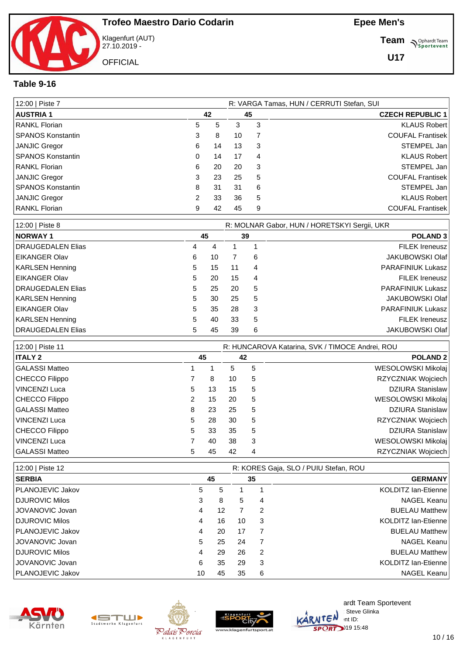Klagenfurt (AUT) 27.10.2019 - **OFFICIAL** 

**Team** *S<sup>Ophardt Team*<br>*S*<sup>P</sup> *Sportevent*</sup>

**U17**

#### **Table 9-16**

| 12:00   Piste 7          |   |    |    |   | R: VARGA Tamas, HUN / CERRUTI Stefan, SUI |
|--------------------------|---|----|----|---|-------------------------------------------|
| <b>AUSTRIA 1</b>         |   | 42 |    |   | <b>CZECH REPUBLIC 1</b>                   |
| RANKL Florian            | 5 | 5  | 3  | 3 | <b>KLAUS Robert</b>                       |
| <b>SPANOS Konstantin</b> | 3 | 8  | 10 | 7 | <b>COUFAL Frantisek</b>                   |
| JANJIC Gregor            | 6 | 14 | 13 | 3 | STEMPEL Jan                               |
| <b>SPANOS Konstantin</b> | 0 | 14 | 17 | 4 | <b>KLAUS Robert</b>                       |
| <b>RANKL Florian</b>     | 6 | 20 | 20 | 3 | STEMPEL Jan                               |
| JANJIC Gregor            | 3 | 23 | 25 | 5 | <b>COUFAL Frantisek</b>                   |
| <b>SPANOS Konstantin</b> | 8 | 31 | 31 | 6 | STEMPEL Jan                               |
| JANJIC Gregor            | 2 | 33 | 36 | 5 | <b>KLAUS Robert</b>                       |
| <b>RANKL Florian</b>     | 9 | 42 | 45 | 9 | <b>COUFAL Frantisek</b>                   |

| 12:00   Piste 8           |    |    |    |    | R: MOLNAR Gabor, HUN / HORETSKYI Sergii, UKR |
|---------------------------|----|----|----|----|----------------------------------------------|
| <b>NORWAY 1</b>           | 45 |    |    | 39 | <b>POLAND 3</b>                              |
| DRAUGEDALEN Elias         | 4  | 4  |    |    | <b>FILEK Ireneusz</b>                        |
| <b>IEIKANGER Olav</b>     | 6  | 10 |    | 6  | <b>JAKUBOWSKI Olaf</b>                       |
| KARLSEN Henning           | 5. | 15 | 11 | 4  | <b>PARAFINIUK Lukasz</b>                     |
| <b>EIKANGER Olav</b>      | 5. | 20 | 15 | 4  | <b>FILEK Ireneusz</b>                        |
| <b>IDRAUGEDALEN Elias</b> | 5. | 25 | 20 | 5  | <b>PARAFINIUK Lukasz</b>                     |
| <b>KARLSEN Henning</b>    | 5. | 30 | 25 | 5  | <b>JAKUBOWSKI Olaf</b>                       |
| EIKANGER Olav             | 5  | 35 | 28 | 3  | <b>PARAFINIUK Lukasz</b>                     |
| <b>KARLSEN Henning</b>    | 5. | 40 | 33 | 5  | <b>FILEK Ireneusz</b>                        |
| DRAUGEDALEN Elias         | 5  | 45 | 39 | 6  | <b>JAKUBOWSKI Olaf</b>                       |

| 12:00   Piste 11 |   |    |    |    | R: HUNCAROVA Katarina, SVK / TIMOCE Andrei, ROU |
|------------------|---|----|----|----|-------------------------------------------------|
| <b>ITALY 2</b>   |   | 45 |    | 42 | <b>POLAND 2</b>                                 |
| GALASSI Matteo   |   |    | 5  | 5  | WESOLOWSKI Mikolaj                              |
| CHECCO Filippo   |   | 8  | 10 | 5  | RZYCZNIAK Wojciech                              |
| VINCENZI Luca    | 5 | 13 | 15 | 5  | <b>DZIURA Stanislaw</b>                         |
| CHECCO Filippo   | 2 | 15 | 20 | 5  | WESOLOWSKI Mikolaj                              |
| GALASSI Matteo   | 8 | 23 | 25 | 5  | <b>DZIURA Stanislaw</b>                         |
| VINCENZI Luca    | 5 | 28 | 30 | 5  | RZYCZNIAK Wojciech                              |
| CHECCO Filippo   | 5 | 33 | 35 | 5  | <b>DZIURA Stanislaw</b>                         |
| VINCENZI Luca    |   | 40 | 38 | 3  | WESOLOWSKI Mikolaj                              |
| GALASSI Matteo   | 5 | 45 | 42 | 4  | RZYCZNIAK Wojciech                              |

| 12:00   Piste 12        |    |    | R: KORES Gaja, SLO / PUIU Stefan, ROU |               |                            |  |  |  |  |
|-------------------------|----|----|---------------------------------------|---------------|----------------------------|--|--|--|--|
| <b>SERBIA</b>           |    | 45 |                                       | 35            | <b>GERMANY</b>             |  |  |  |  |
| <b>PLANOJEVIC Jakov</b> | 5  | 5  |                                       |               | KOLDITZ Ian-Etienne        |  |  |  |  |
| DJUROVIC Milos          | 3  | 8  | 5                                     | 4             | NAGEL Keanu                |  |  |  |  |
| <b>JOVANOVIC Jovan</b>  | 4  | 12 |                                       | 2             | <b>BUELAU Matthew</b>      |  |  |  |  |
| DJUROVIC Milos          | 4  | 16 | 10                                    | 3             | KOLDITZ Ian-Etienne        |  |  |  |  |
| <b>PLANOJEVIC Jakov</b> | 4  | 20 | 17                                    |               | <b>BUELAU Matthew</b>      |  |  |  |  |
| <b>JOVANOVIC Jovan</b>  | 5  | 25 | 24                                    |               | NAGEL Keanu                |  |  |  |  |
| <b>IDJUROVIC Milos</b>  | 4  | 29 | 26                                    | $\mathcal{P}$ | <b>BUELAU Matthew</b>      |  |  |  |  |
| <b>JOVANOVIC Jovan</b>  | 6  | 35 | 29                                    | 3             | <b>KOLDITZ lan-Etienne</b> |  |  |  |  |
| <b>PLANOJEVIC Jakov</b> | 10 | 45 | 35                                    | 6             | NAGEL Keanu                |  |  |  |  |





A G F N F



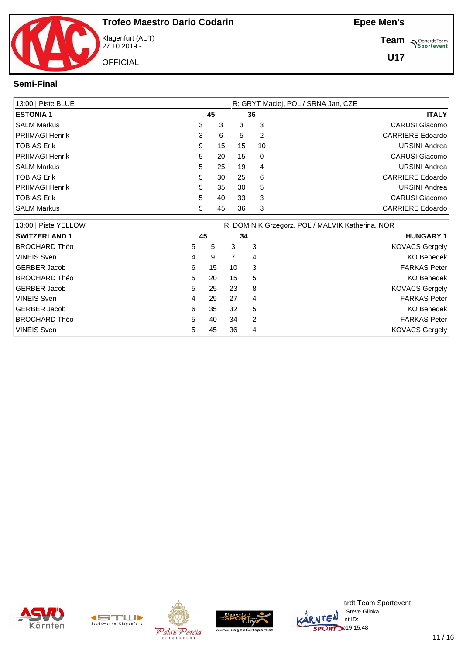

Klagenfurt (AUT) 27.10.2019 - **OFFICIAL** 

**Team** *S<sup>Ophardt Team*<br> *S*<sup>P</sup>sportevent</sup>

**U17**

#### **Semi-Final**

| 13:00   Piste BLUE     |   | R: GRYT Maciej, POL / SRNA Jan, CZE |    |    |  |                         |  |  |  |  |
|------------------------|---|-------------------------------------|----|----|--|-------------------------|--|--|--|--|
| <b>ESTONIA 1</b>       |   | 45                                  |    | 36 |  | <b>ITALY</b>            |  |  |  |  |
| SALM Markus            | 3 | 3                                   | 3  | 3  |  | <b>CARUSI Giacomo</b>   |  |  |  |  |
| <b>PRIIMAGI Henrik</b> | 3 | 6                                   | 5  | 2  |  | <b>CARRIERE</b> Edoardo |  |  |  |  |
| TOBIAS Erik            | 9 | 15                                  | 15 | 10 |  | <b>URSINI Andrea</b>    |  |  |  |  |
| <b>PRIIMAGI Henrik</b> | 5 | 20                                  | 15 | 0  |  | <b>CARUSI Giacomo</b>   |  |  |  |  |
| ISALM Markus           | 5 | 25                                  | 19 | 4  |  | URSINI Andrea           |  |  |  |  |
| <b>TOBIAS Erik</b>     | 5 | 30                                  | 25 | 6  |  | <b>CARRIERE</b> Edoardo |  |  |  |  |
| PRIIMAGI Henrik        | 5 | 35                                  | 30 | 5  |  | <b>URSINI Andrea</b>    |  |  |  |  |
| <b>TOBIAS Erik</b>     | 5 | 40                                  | 33 | 3  |  | <b>CARUSI Giacomo</b>   |  |  |  |  |
| l SALM Markus          | 5 | 45                                  | 36 | 3  |  | <b>CARRIERE Edoardo</b> |  |  |  |  |

| 13:00   Piste YELLOW |    |    |    |   | R: DOMINIK Grzegorz, POL / MALVIK Katherina, NOR |
|----------------------|----|----|----|---|--------------------------------------------------|
| <b>SWITZERLAND 1</b> | 45 |    | 34 |   | <b>HUNGARY 1</b>                                 |
| <b>BROCHARD Théo</b> | 5. | 5  | 3  | 3 | <b>KOVACS Gergely</b>                            |
| <b>VINEIS Sven</b>   | 4  | 9  |    | 4 | <b>KO Benedek</b>                                |
| <b>GERBER Jacob</b>  | 6  | 15 | 10 | 3 | <b>FARKAS Peter</b>                              |
| <b>BROCHARD Théo</b> | 5  | 20 | 15 | 5 | <b>KO Benedek</b>                                |
| <b>GERBER Jacob</b>  | 5  | 25 | 23 | 8 | <b>KOVACS Gergely</b>                            |
| <b>VINEIS Sven</b>   | 4  | 29 | 27 | 4 | <b>FARKAS Peter</b>                              |
| <b>GERBER Jacob</b>  | 6  | 35 | 32 | 5 | <b>KO Benedek</b>                                |
| <b>BROCHARD Théo</b> | 5  | 40 | 34 | 2 | <b>FARKAS Peter</b>                              |
| <b>VINEIS Sven</b>   | 5  | 45 | 36 | 4 | <b>KOVACS Gergely</b>                            |









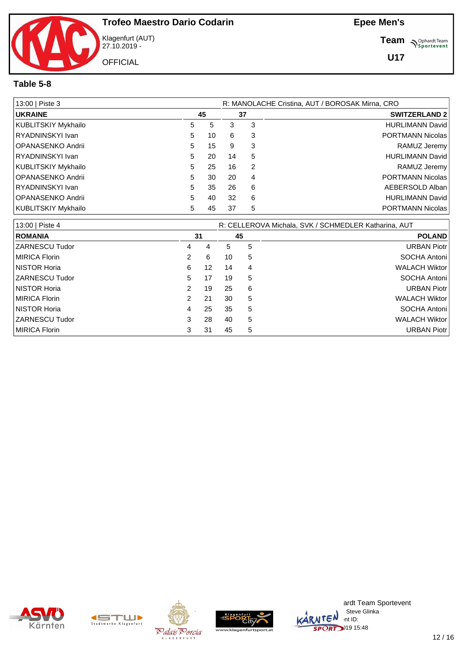

Klagenfurt (AUT) 27.10.2019 -

**Team** *S<sup>Ophardt Team*<br> *S*<sup>P</sup>sportevent</sup>

**U17**

#### **Table 5-8**

| 13:00   Piste 3     |    |    | R: MANOLACHE Cristina, AUT / BOROSAK Mirna, CRO |    |                         |  |  |  |  |
|---------------------|----|----|-------------------------------------------------|----|-------------------------|--|--|--|--|
| <b>UKRAINE</b>      |    | 45 |                                                 | 37 | <b>SWITZERLAND 2</b>    |  |  |  |  |
| KUBLITSKIY Mykhailo | 5  | 5. | 3                                               | 3  | <b>HURLIMANN David</b>  |  |  |  |  |
| RYADNINSKYI Ivan    | 5. | 10 | 6                                               | 3  | PORTMANN Nicolas        |  |  |  |  |
| OPANASENKO Andrii   | 5  | 15 | 9                                               | 3  | RAMUZ Jeremy            |  |  |  |  |
| RYADNINSKYI Ivan    | 5. | 20 | 14                                              | 5  | <b>HURLIMANN David</b>  |  |  |  |  |
| KUBLITSKIY Mykhailo | 5. | 25 | 16                                              | 2  | RAMUZ Jeremy            |  |  |  |  |
| OPANASENKO Andrii   | 5. | 30 | 20                                              | 4  | <b>PORTMANN Nicolas</b> |  |  |  |  |
| RYADNINSKYI Ivan    | 5. | 35 | 26                                              | 6  | AEBERSOLD Alban         |  |  |  |  |
| OPANASENKO Andrii   | 5. | 40 | 32                                              | 6  | <b>HURLIMANN David</b>  |  |  |  |  |
| KUBLITSKIY Mykhailo | 5  | 45 | 37                                              | 5  | <b>PORTMANN Nicolas</b> |  |  |  |  |

| 13:00   Piste 4     |    |    | R: CELLEROVA Michala, SVK / SCHMEDLER Katharina, AUT |    |                      |
|---------------------|----|----|------------------------------------------------------|----|----------------------|
| <b>ROMANIA</b>      | 31 |    |                                                      | 45 | <b>POLAND</b>        |
| ZARNESCU Tudor      | 4  | 4  | 5.                                                   | 5  | <b>URBAN Piotr</b>   |
| MIRICA Florin       |    | 6  | 10                                                   | 5  | SOCHA Antoni         |
| <b>NISTOR Horia</b> | 6  | 12 | 14                                                   | 4  | <b>WALACH Wiktor</b> |
| ZARNESCU Tudor      | 5  | 17 | 19                                                   | 5  | SOCHA Antoni         |
| <b>NISTOR Horia</b> |    | 19 | 25                                                   | 6  | <b>URBAN Piotr</b>   |
| MIRICA Florin       |    | 21 | 30                                                   | 5  | <b>WALACH Wiktor</b> |
| <b>NISTOR Horia</b> | 4  | 25 | 35                                                   | 5  | SOCHA Antoni         |
| ZARNESCU Tudor      | 3  | 28 | 40                                                   | 5  | <b>WALACH Wiktor</b> |
| MIRICA Florin       |    | 31 | 45                                                   | 5  | <b>URBAN Piotr</b>   |









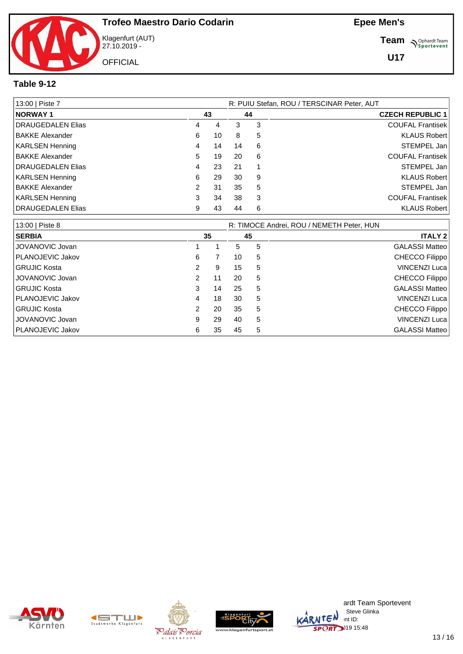

Klagenfurt (AUT) 27.10.2019 -

**Team** *S<sup>Ophardt Team*<br> *S*<sup>P</sup>sportevent</sup>

**U17**

#### **Table 9-12**

| 13:00   Piste 7        |               |    |    |    | R: PUIU Stefan, ROU / TERSCINAR Peter, AUT |
|------------------------|---------------|----|----|----|--------------------------------------------|
| <b>NORWAY1</b>         |               | 43 |    | 44 | <b>CZECH REPUBLIC 1</b>                    |
| DRAUGEDALEN Elias      | 4             | 4  | 3  | 3  | <b>COUFAL Frantisek</b>                    |
| <b>BAKKE Alexander</b> | 6             | 10 | 8  | 5  | <b>KLAUS Robert</b>                        |
| <b>KARLSEN Henning</b> | 4             | 14 | 14 | 6  | STEMPEL Jan                                |
| <b>BAKKE Alexander</b> | 5             | 19 | 20 | 6  | <b>COUFAL Frantisek</b>                    |
| DRAUGEDALEN Elias      | 4             | 23 | 21 |    | STEMPEL Jan                                |
| <b>KARLSEN Henning</b> | 6             | 29 | 30 | 9  | <b>KLAUS Robert</b>                        |
| <b>BAKKE Alexander</b> | $\mathcal{P}$ | 31 | 35 | 5  | STEMPEL Jan                                |
| KARLSEN Henning        | 3             | 34 | 38 | 3  | <b>COUFAL Frantisek</b>                    |
| DRAUGEDALEN Elias      | 9             | 43 | 44 | 6  | <b>KLAUS Robert</b>                        |

| 13:00   Piste 8     |                |    |    |    | R: TIMOCE Andrei, ROU / NEMETH Peter, HUN |
|---------------------|----------------|----|----|----|-------------------------------------------|
| <b>SERBIA</b>       |                | 35 |    | 45 | <b>ITALY 2</b>                            |
| JOVANOVIC Jovan     |                |    | 5  | 5  | <b>GALASSI Matteo</b>                     |
| PLANOJEVIC Jakov    | 6              |    | 10 | 5  | CHECCO Filippo                            |
| <b>GRUJIC Kosta</b> | $\mathcal{P}$  | 9  | 15 | 5  | VINCENZI Luca                             |
| JOVANOVIC Jovan     | 2              | 11 | 20 | 5  | CHECCO Filippo                            |
| <b>GRUJIC Kosta</b> | 3              | 14 | 25 | 5  | <b>GALASSI Matteo</b>                     |
| PLANOJEVIC Jakov    | 4              | 18 | 30 | 5  | VINCENZI Luca                             |
| <b>GRUJIC Kosta</b> | $\overline{2}$ | 20 | 35 | 5  | CHECCO Filippo                            |
| JOVANOVIC Jovan     | 9              | 29 | 40 | 5  | VINCENZI Luca                             |
| PLANOJEVIC Jakov    | 6              | 35 | 45 | 5  | <b>GALASSI Matteo</b>                     |









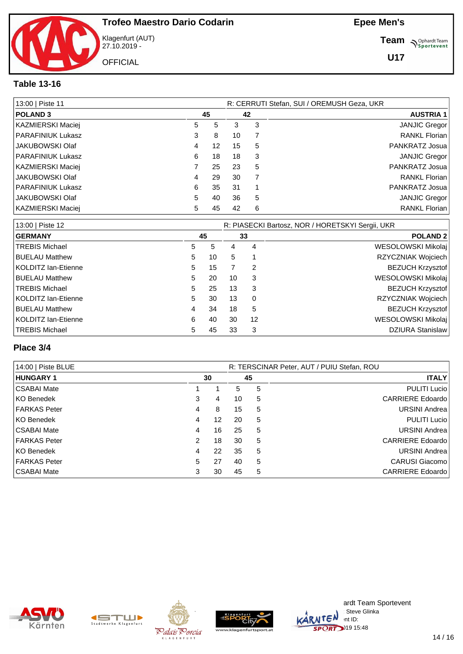Klagenfurt (AUT) 27.10.2019 - **OFFICIAL** 

**Team** *S<sup>Ophardt Team*<br> *S*<sup>P</sup>sportevent</sup>

#### **Table 13-16**

| 13:00   Piste 11         |   |    |    |    | R: CERRUTI Stefan, SUI / OREMUSH Geza, UKR |
|--------------------------|---|----|----|----|--------------------------------------------|
| <b>POLAND3</b>           |   | 45 |    | 42 | <b>AUSTRIA 1</b>                           |
| KAZMIERSKI Maciej        | 5 | 5  | 3  | 3  | <b>JANJIC Gregor</b>                       |
| <b>PARAFINIUK Lukasz</b> | 3 | 8  | 10 |    | <b>RANKL Florian</b>                       |
| JAKUBOWSKI Olaf          | 4 | 12 | 15 | 5  | PANKRATZ Josua                             |
| <b>PARAFINIUK Lukasz</b> | 6 | 18 | 18 | 3  | <b>JANJIC Gregor</b>                       |
| KAZMIERSKI Maciej        |   | 25 | 23 | 5  | PANKRATZ Josua                             |
| JAKUBOWSKI Olaf          | 4 | 29 | 30 |    | <b>RANKL Florian</b>                       |
| <b>PARAFINIUK Lukasz</b> | 6 | 35 | 31 |    | PANKRATZ Josua                             |
| JAKUBOWSKI Olaf          | 5 | 40 | 36 | 5  | <b>JANJIC Gregor</b>                       |
| KAZMIERSKI Maciej        | 5 | 45 | 42 | 6  | <b>RANKL Florian</b>                       |

| 13:00   Piste 12      |    |    | R: PIASECKI Bartosz, NOR / HORETSKYI Sergii, UKR |          |                         |  |  |
|-----------------------|----|----|--------------------------------------------------|----------|-------------------------|--|--|
| <b>GERMANY</b>        |    | 45 |                                                  | 33       | <b>POLAND 2</b>         |  |  |
| <b>TREBIS Michael</b> | 5. | 5  | 4                                                | 4        | WESOLOWSKI Mikolaj      |  |  |
| <b>BUELAU Matthew</b> | 5  | 10 | 5                                                |          | RZYCZNIAK Wojciech      |  |  |
| KOLDITZ lan-Etienne   | 5  | 15 |                                                  | 2        | <b>BEZUCH Krzysztof</b> |  |  |
| <b>BUELAU Matthew</b> | 5. | 20 | 10                                               | 3        | WESOLOWSKI Mikolaj      |  |  |
| <b>TREBIS Michael</b> | 5  | 25 | 13                                               | 3        | <b>BEZUCH Krzysztof</b> |  |  |
| KOLDITZ Ian-Etienne   | 5. | 30 | 13                                               | $\Omega$ | RZYCZNIAK Wojciech      |  |  |
| <b>BUELAU Matthew</b> | 4  | 34 | 18                                               | 5        | <b>BEZUCH Krzysztof</b> |  |  |
| KOLDITZ Ian-Etienne   | 6  | 40 | 30                                               | 12       | WESOLOWSKI Mikolaj      |  |  |
| <b>TREBIS Michael</b> | 5. | 45 | 33                                               | 3        | <b>DZIURA Stanislaw</b> |  |  |

#### **Place 3/4**

| 14:00   Piste BLUE  |   |    |    |    | R: TERSCINAR Peter, AUT / PUIU Stefan, ROU |
|---------------------|---|----|----|----|--------------------------------------------|
| <b>HUNGARY 1</b>    |   | 30 |    | 45 | <b>ITALY</b>                               |
| CSABAI Mate         |   |    | 5  | 5  | <b>PULITI Lucio</b>                        |
| KO Benedek          | 3 | 4  | 10 | 5  | CARRIERE Edoardo                           |
| <b>FARKAS Peter</b> | 4 | 8  | 15 | 5  | URSINI Andrea                              |
| KO Benedek          | 4 | 12 | 20 | 5  | PULITI Lucio                               |
| CSABAI Mate         | 4 | 16 | 25 | 5  | <b>URSINI Andrea</b>                       |
| <b>FARKAS Peter</b> | 2 | 18 | 30 | 5  | <b>CARRIERE Edoardo</b>                    |
| KO Benedek          | 4 | 22 | 35 | 5  | URSINI Andrea                              |
| <b>FARKAS Peter</b> | 5 | 27 | 40 | 5  | CARUSI Giacomo                             |
| CSABAI Mate         | 3 | 30 | 45 | 5  | <b>CARRIERE Edoardo</b>                    |









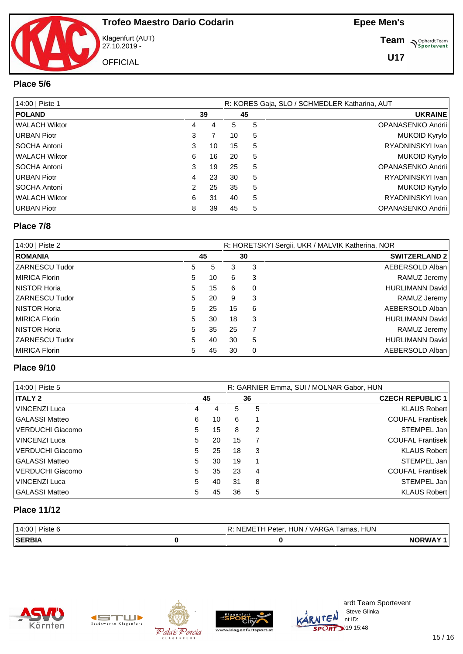Klagenfurt (AUT) 27.10.2019 - **OFFICIAL** 

**Team S**<sup>Ophardt Team</sub></sup>

#### **Place 5/6**

| 14:00   Piste 1     |   |    |    | R: KORES Gaja, SLO / SCHMEDLER Katharina, AUT |                   |  |  |  |  |
|---------------------|---|----|----|-----------------------------------------------|-------------------|--|--|--|--|
| <b>POLAND</b>       |   | 39 |    | 45                                            | <b>UKRAINE</b>    |  |  |  |  |
| WALACH Wiktor       | 4 | 4  | 5  | 5                                             | OPANASENKO Andrii |  |  |  |  |
| URBAN Piotr         | 3 |    | 10 | 5                                             | MUKOID Kyrylo     |  |  |  |  |
| SOCHA Antoni        | 3 | 10 | 15 | 5                                             | RYADNINSKYI Ivan  |  |  |  |  |
| l WALACH Wiktor     | 6 | 16 | 20 | 5                                             | MUKOID Kyrylo     |  |  |  |  |
| <b>SOCHA Antoni</b> | 3 | 19 | 25 | 5                                             | OPANASENKO Andrii |  |  |  |  |
| URBAN Piotr         | 4 | 23 | 30 | 5                                             | RYADNINSKYI Ivan  |  |  |  |  |
| SOCHA Antoni        | 2 | 25 | 35 | 5                                             | MUKOID Kyrylo     |  |  |  |  |
| WALACH Wiktor       | 6 | 31 | 40 | 5                                             | RYADNINSKYI Ivan  |  |  |  |  |
| URBAN Piotr         | 8 | 39 | 45 | 5                                             | OPANASENKO Andrii |  |  |  |  |

#### **Place 7/8**

| 14:00   Piste 2     |    |    |    |          | R: HORETSKYI Sergii, UKR / MALVIK Katherina, NOR |
|---------------------|----|----|----|----------|--------------------------------------------------|
| <b>ROMANIA</b>      | 45 |    |    | 30       | <b>SWITZERLAND 2</b>                             |
| ZARNESCU Tudor      | 5  | 5  | 3  | 3        | AEBERSOLD Alban                                  |
| MIRICA Florin       | 5  | 10 | 6  | 3        | RAMUZ Jeremy                                     |
| <b>NISTOR Horia</b> | 5  | 15 | 6  | 0        | <b>HURLIMANN David</b>                           |
| ZARNESCU Tudor      | 5  | 20 | 9  | 3        | RAMUZ Jeremy                                     |
| <b>NISTOR Horia</b> | 5  | 25 | 15 | 6        | AEBERSOLD Alban                                  |
| MIRICA Florin       | 5  | 30 | 18 | 3        | <b>HURLIMANN David</b>                           |
| <b>NISTOR Horia</b> | 5  | 35 | 25 |          | RAMUZ Jeremy                                     |
| ZARNESCU Tudor      | 5  | 40 | 30 | 5        | <b>HURLIMANN David</b>                           |
| MIRICA Florin       | 5  | 45 | 30 | $\Omega$ | AEBERSOLD Alban                                  |

#### **Place 9/10**

| 14:00   Piste 5         |   |    |    |    | R: GARNIER Emma, SUI / MOLNAR Gabor, HUN |
|-------------------------|---|----|----|----|------------------------------------------|
| <b>ITALY 2</b>          |   | 45 |    | 36 | <b>CZECH REPUBLIC 1</b>                  |
| <b>VINCENZI Luca</b>    | 4 | 4  | 5  | 5  | <b>KLAUS Robert</b>                      |
| <b>GALASSI Matteo</b>   | 6 | 10 | 6  |    | <b>COUFAL Frantisek</b>                  |
| <b>VERDUCHI Giacomo</b> | 5 | 15 | 8  | 2  | STEMPEL Jan                              |
| <b>VINCENZI Luca</b>    | 5 | 20 | 15 |    | <b>COUFAL Frantisek</b>                  |
| <b>VERDUCHI Giacomo</b> | 5 | 25 | 18 | 3  | <b>KLAUS Robert</b>                      |
| <b>GALASSI Matteo</b>   | 5 | 30 | 19 |    | STEMPEL Jan                              |
| <b>VERDUCHI Giacomo</b> | 5 | 35 | 23 | 4  | <b>COUFAL Frantisek</b>                  |
| <b>VINCENZI Luca</b>    | 5 | 40 | 31 | 8  | STEMPEL Jan                              |
| <b>GALASSI Matteo</b>   | 5 | 45 | 36 | 5  | <b>KLAUS Robert</b>                      |

#### **Place 11/12**

| 14:00        | <b>HUN</b><br>HUN<br>ΝF<br>VARGA<br>amas<br>'eter<br>_MEIF<br>lldS. |              |
|--------------|---------------------------------------------------------------------|--------------|
| <b>SERB'</b> |                                                                     | <b>NORWA</b> |









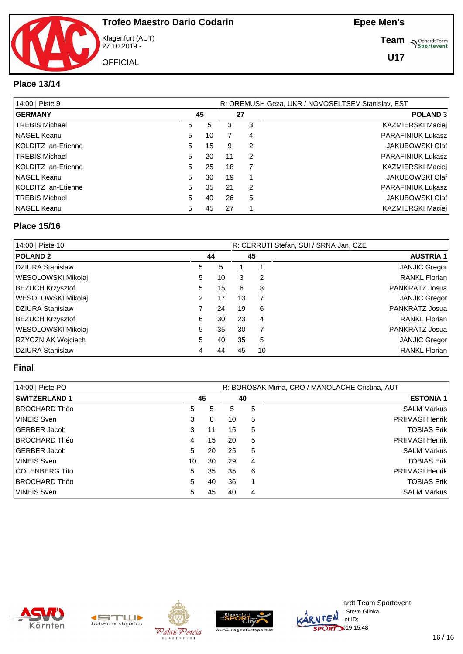# **OFFICIAL**

#### **Trofeo Maestro Dario Codarin**

Klagenfurt (AUT) 27.10.2019 -

**Team** *S<sup>Ophardt Team*<br> *S*<sup>P</sup>sportevent</sup>

#### **Place 13/14**

| 14:00   Piste 9       |    |    |    | R: OREMUSH Geza, UKR / NOVOSELTSEV Stanislav, EST |                          |  |  |  |
|-----------------------|----|----|----|---------------------------------------------------|--------------------------|--|--|--|
| <b>GERMANY</b>        |    | 45 |    | 27                                                | POLAND <sub>3</sub>      |  |  |  |
| <b>TREBIS Michael</b> | 5  | 5  | 3  | 3                                                 | KAZMIERSKI Maciej        |  |  |  |
| NAGEL Keanu           | 5  | 10 |    | 4                                                 | PARAFINIUK Lukasz        |  |  |  |
| KOLDITZ lan-Etienne   | 5  | 15 | 9  | 2                                                 | <b>JAKUBOWSKI Olaf</b>   |  |  |  |
| <b>TREBIS Michael</b> | 5  | 20 | 11 | $\mathcal{P}$                                     | PARAFINIUK Lukasz        |  |  |  |
| KOLDITZ lan-Etienne   | 5  | 25 | 18 |                                                   | KAZMIERSKI Maciej        |  |  |  |
| NAGEL Keanu           | 5  | 30 | 19 |                                                   | JAKUBOWSKI Olaf          |  |  |  |
| KOLDITZ Ian-Etienne   | 5  | 35 | 21 | $\mathcal{P}$                                     | <b>PARAFINIUK Lukasz</b> |  |  |  |
| <b>TREBIS Michael</b> | 5. | 40 | 26 | 5                                                 | JAKUBOWSKI Olaf          |  |  |  |
| NAGEL Keanu           | 5  | 45 | 27 |                                                   | KAZMIERSKI Maciej        |  |  |  |

#### **Place 15/16**

| 14:00   Piste 10        |    |    |    |    | R: CERRUTI Stefan, SUI / SRNA Jan, CZE |
|-------------------------|----|----|----|----|----------------------------------------|
| <b>POLAND 2</b>         |    | 44 |    | 45 | <b>AUSTRIA 1</b>                       |
| DZIURA Stanislaw        | 5  | 5  |    |    | JANJIC Gregor                          |
| WESOLOWSKI Mikolaj      | 5. | 10 | 3  | 2  | RANKL Florian                          |
| <b>BEZUCH Krzysztof</b> | 5  | 15 | 6  | 3  | PANKRATZ Josua                         |
| WESOLOWSKI Mikolaj      | 2  | 17 | 13 |    | JANJIC Gregor                          |
| DZIURA Stanislaw        |    | 24 | 19 | 6  | PANKRATZ Josua                         |
| <b>BEZUCH Krzysztof</b> | 6  | 30 | 23 | 4  | <b>RANKL Florian</b>                   |
| WESOLOWSKI Mikolaj      | 5  | 35 | 30 |    | PANKRATZ Josua                         |
| RZYCZNIAK Wojciech      | 5  | 40 | 35 | 5  | JANJIC Gregor                          |
| DZIURA Stanislaw        |    | 44 | 45 | 10 | <b>RANKL Florian</b>                   |

#### **Final**

| 14:00   Piste PO     |    |    | R: BOROSAK Mirna, CRO / MANOLACHE Cristina, AUT |    |                        |  |  |
|----------------------|----|----|-------------------------------------------------|----|------------------------|--|--|
| <b>SWITZERLAND 1</b> |    | 45 |                                                 | 40 | <b>ESTONIA 1</b>       |  |  |
| BROCHARD Théo        | 5  | 5  | 5                                               | 5  | <b>SALM Markus</b>     |  |  |
| <b>VINEIS Sven</b>   | 3  | 8  | 10                                              | 5  | <b>PRIIMAGI Henrik</b> |  |  |
| GERBER Jacob         | 3  | 11 | 15                                              | 5  | <b>TOBIAS Erik</b>     |  |  |
| IBROCHARD Théo       | 4  | 15 | 20                                              | 5  | <b>PRIIMAGI Henrik</b> |  |  |
| GERBER Jacob         | 5  | 20 | 25                                              | 5  | <b>SALM Markus</b>     |  |  |
| <b>VINEIS Sven</b>   | 10 | 30 | 29                                              | 4  | <b>TOBIAS Erik</b>     |  |  |
| COLENBERG Tito       | 5  | 35 | 35                                              | 6  | <b>PRIIMAGI Henrik</b> |  |  |
| IBROCHARD Théo       | 5  | 40 | 36                                              |    | <b>TOBIAS Erik</b>     |  |  |
| <b>VINEIS Sven</b>   | 5  | 45 | 40                                              | 4  | <b>SALM Markus</b>     |  |  |









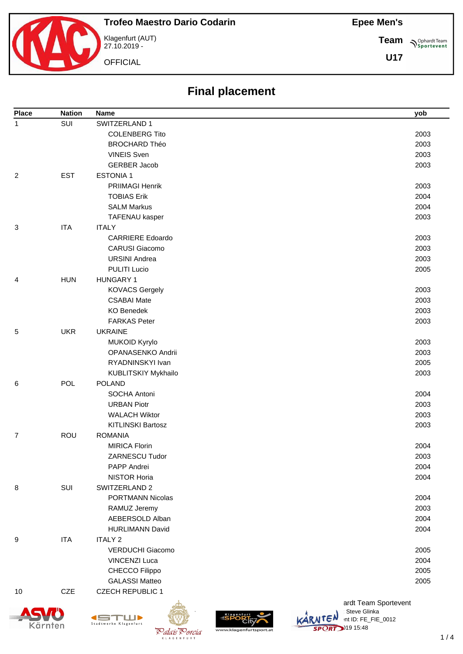



Klagenfurt (AUT) 27.10.2019 -

**OFFICIAL** 

**Sportevent Team**

| <b>Place</b>   | <b>Nation</b> | <b>Name</b>              | yob                  |
|----------------|---------------|--------------------------|----------------------|
| $\mathbf{1}$   | SUI           | SWITZERLAND 1            |                      |
|                |               | <b>COLENBERG Tito</b>    | 2003                 |
|                |               | <b>BROCHARD Théo</b>     | 2003                 |
|                |               | <b>VINEIS Sven</b>       | 2003                 |
|                |               | <b>GERBER Jacob</b>      | 2003                 |
| $\overline{2}$ | <b>EST</b>    | <b>ESTONIA1</b>          |                      |
|                |               | PRIIMAGI Henrik          | 2003                 |
|                |               | <b>TOBIAS Erik</b>       | 2004                 |
|                |               | <b>SALM Markus</b>       | 2004                 |
|                |               | TAFENAU kasper           | 2003                 |
| 3              | <b>ITA</b>    | <b>ITALY</b>             |                      |
|                |               | <b>CARRIERE Edoardo</b>  | 2003                 |
|                |               | <b>CARUSI Giacomo</b>    | 2003                 |
|                |               | <b>URSINI Andrea</b>     | 2003                 |
|                |               | <b>PULITI Lucio</b>      | 2005                 |
| 4              | <b>HUN</b>    | <b>HUNGARY 1</b>         |                      |
|                |               | <b>KOVACS Gergely</b>    | 2003                 |
|                |               | <b>CSABAI Mate</b>       | 2003                 |
|                |               | <b>KO Benedek</b>        | 2003                 |
|                |               | <b>FARKAS Peter</b>      | 2003                 |
| 5              | <b>UKR</b>    | <b>UKRAINE</b>           |                      |
|                |               | MUKOID Kyrylo            | 2003                 |
|                |               | OPANASENKO Andrii        | 2003                 |
|                |               | RYADNINSKYI Ivan         | 2005                 |
|                |               | KUBLITSKIY Mykhailo      | 2003                 |
| 6              | <b>POL</b>    | <b>POLAND</b>            |                      |
|                |               | SOCHA Antoni             | 2004                 |
|                |               | <b>URBAN Piotr</b>       | 2003                 |
|                |               | <b>WALACH Wiktor</b>     | 2003                 |
|                |               | <b>KITLINSKI Bartosz</b> | 2003                 |
| $\overline{7}$ | <b>ROU</b>    | <b>ROMANIA</b>           |                      |
|                |               | <b>MIRICA Florin</b>     | 2004                 |
|                |               | ZARNESCU Tudor           | 2003                 |
|                |               | PAPP Andrei              | 2004                 |
|                |               | <b>NISTOR Horia</b>      | 2004                 |
| 8              | SUI           | SWITZERLAND 2            |                      |
|                |               | <b>PORTMANN Nicolas</b>  | 2004                 |
|                |               | RAMUZ Jeremy             | 2003                 |
|                |               | AEBERSOLD Alban          | 2004                 |
|                |               | <b>HURLIMANN David</b>   | 2004                 |
| 9              | <b>ITA</b>    | <b>ITALY 2</b>           |                      |
|                |               | <b>VERDUCHI Giacomo</b>  | 2005                 |
|                |               | <b>VINCENZI Luca</b>     | 2004                 |
|                |               | CHECCO Filippo           | 2005                 |
|                |               | <b>GALASSI Matteo</b>    | 2005                 |
| 10             | CZE           | <b>CZECH REPUBLIC 1</b>  |                      |
|                |               |                          | ardt Team Sportevent |







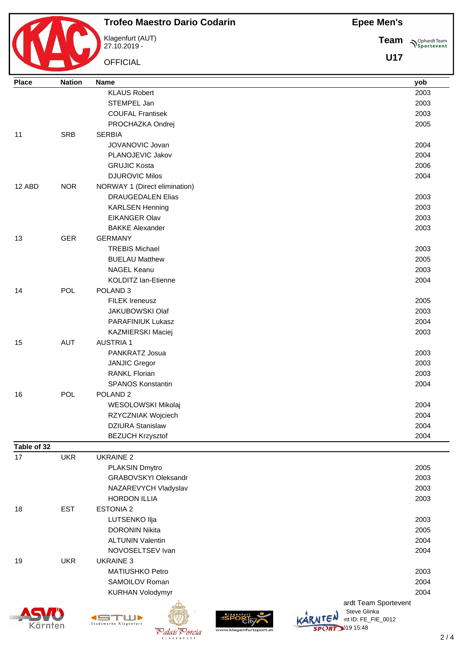

## **Trofeo Maestro Dario Codarin**

Klagenfurt (AUT) 27.10.2019 -

**OFFICIAL** 

**Team**  $\bigwedge^{\text{Ophardt Team}}_{\text{Sportevent}}$ 

| <b>Place</b> | <b>Nation</b> | Name                                               |                                                 | yob  |
|--------------|---------------|----------------------------------------------------|-------------------------------------------------|------|
|              |               | <b>KLAUS Robert</b>                                |                                                 | 2003 |
|              |               | STEMPEL Jan                                        |                                                 | 2003 |
|              |               | <b>COUFAL Frantisek</b>                            |                                                 | 2003 |
|              |               | PROCHAZKA Ondrej                                   |                                                 | 2005 |
| 11           | <b>SRB</b>    | <b>SERBIA</b>                                      |                                                 |      |
|              |               | JOVANOVIC Jovan                                    |                                                 | 2004 |
|              |               | PLANOJEVIC Jakov                                   |                                                 | 2004 |
|              |               | <b>GRUJIC Kosta</b>                                |                                                 | 2006 |
|              |               | <b>DJUROVIC Milos</b>                              |                                                 | 2004 |
| 12 ABD       | <b>NOR</b>    | NORWAY 1 (Direct elimination)                      |                                                 |      |
|              |               | <b>DRAUGEDALEN Elias</b>                           |                                                 | 2003 |
|              |               | <b>KARLSEN Henning</b>                             |                                                 | 2003 |
|              |               | <b>EIKANGER Olav</b>                               |                                                 | 2003 |
|              |               | <b>BAKKE Alexander</b>                             |                                                 | 2003 |
| 13           | <b>GER</b>    | <b>GERMANY</b>                                     |                                                 |      |
|              |               | <b>TREBIS Michael</b>                              |                                                 | 2003 |
|              |               | <b>BUELAU Matthew</b>                              |                                                 | 2005 |
|              |               | <b>NAGEL Keanu</b>                                 |                                                 | 2003 |
|              |               | <b>KOLDITZ lan-Etienne</b>                         |                                                 | 2004 |
| 14           | <b>POL</b>    | POLAND <sub>3</sub>                                |                                                 |      |
|              |               | <b>FILEK Ireneusz</b>                              |                                                 | 2005 |
|              |               | JAKUBOWSKI Olaf                                    |                                                 | 2003 |
|              |               | PARAFINIUK Lukasz                                  |                                                 | 2004 |
|              |               | KAZMIERSKI Maciej                                  |                                                 | 2003 |
| 15           | <b>AUT</b>    | <b>AUSTRIA1</b>                                    |                                                 |      |
|              |               | PANKRATZ Josua                                     |                                                 | 2003 |
|              |               | <b>JANJIC Gregor</b>                               |                                                 | 2003 |
|              |               | RANKL Florian                                      |                                                 | 2003 |
|              |               | <b>SPANOS Konstantin</b>                           |                                                 | 2004 |
| 16           | POL           | POLAND <sub>2</sub>                                |                                                 |      |
|              |               | WESOLOWSKI Mikolaj                                 |                                                 | 2004 |
|              |               | RZYCZNIAK Wojciech                                 |                                                 | 2004 |
|              |               | <b>DZIURA Stanislaw</b>                            |                                                 | 2004 |
|              |               | <b>BEZUCH Krzysztof</b>                            |                                                 | 2004 |
| Table of 32  |               |                                                    |                                                 |      |
| 17           | <b>UKR</b>    | <b>UKRAINE 2</b>                                   |                                                 |      |
|              |               | PLAKSIN Dmytro                                     |                                                 | 2005 |
|              |               | <b>GRABOVSKYI Oleksandr</b>                        |                                                 | 2003 |
|              |               | NAZAREVYCH Vladyslav                               |                                                 | 2003 |
|              |               | <b>HORDON ILLIA</b>                                |                                                 | 2003 |
| 18           | <b>EST</b>    | <b>ESTONIA 2</b>                                   |                                                 |      |
|              |               | LUTSENKO Ilja                                      |                                                 | 2003 |
|              |               | <b>DORONIN Nikita</b>                              |                                                 | 2005 |
|              |               | <b>ALTUNIN Valentin</b>                            |                                                 | 2004 |
|              |               | NOVOSELTSEV Ivan                                   |                                                 | 2004 |
| 19           | <b>UKR</b>    | <b>UKRAINE 3</b>                                   |                                                 |      |
|              |               | MATIUSHKO Petro                                    |                                                 | 2003 |
|              |               | SAMOILOV Roman                                     |                                                 | 2004 |
|              |               |                                                    |                                                 | 2004 |
|              |               | <b>KURHAN Volodymyr</b>                            |                                                 |      |
|              |               |                                                    | ardt Team Sportevent<br>Steve Glinka            |      |
|              |               | LLIÞ                                               | int ID: FE_FIE_0012                             |      |
| Kärnten      |               | Stadtwerke Klagenfurt<br>Palais <sup>P</sup> orcia | <b>SPORT</b> 19 15:48<br>www.klagenfurtsport.at |      |
|              |               |                                                    |                                                 | 2/   |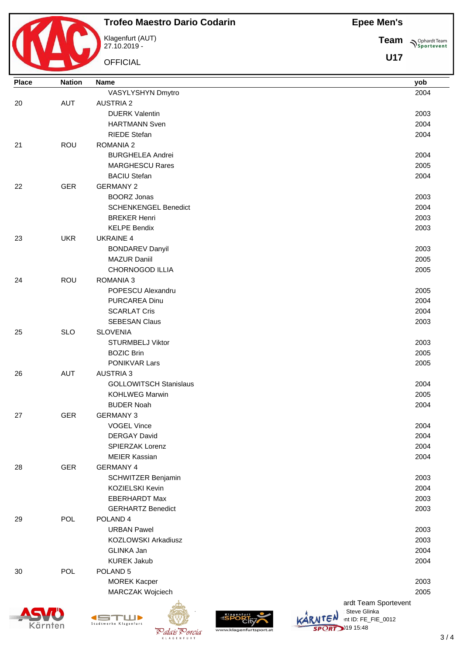

### **Trofeo Maestro Dario Codarin**

Klagenfurt (AUT) 27.10.2019 -

**OFFICIAL** 

**Team Sportevent** 

| <b>Place</b> | <b>Nation</b> | <b>Name</b>                   | yob                            |  |
|--------------|---------------|-------------------------------|--------------------------------|--|
|              |               | VASYLYSHYN Dmytro             | 2004                           |  |
| 20           | <b>AUT</b>    | <b>AUSTRIA 2</b>              |                                |  |
|              |               | <b>DUERK Valentin</b>         | 2003                           |  |
|              |               | <b>HARTMANN Sven</b>          | 2004                           |  |
|              |               | <b>RIEDE Stefan</b>           | 2004                           |  |
| 21           | ROU           | <b>ROMANIA 2</b>              |                                |  |
|              |               | <b>BURGHELEA Andrei</b>       | 2004                           |  |
|              |               | <b>MARGHESCU Rares</b>        | 2005                           |  |
|              |               | <b>BACIU Stefan</b>           | 2004                           |  |
| 22           | <b>GER</b>    | <b>GERMANY 2</b>              |                                |  |
|              |               | <b>BOORZ Jonas</b>            | 2003                           |  |
|              |               | <b>SCHENKENGEL Benedict</b>   | 2004                           |  |
|              |               | <b>BREKER Henri</b>           | 2003                           |  |
|              |               |                               |                                |  |
|              |               | <b>KELPE Bendix</b>           | 2003                           |  |
| 23           | <b>UKR</b>    | <b>UKRAINE 4</b>              |                                |  |
|              |               | <b>BONDAREV Danyil</b>        | 2003                           |  |
|              |               | <b>MAZUR Daniil</b>           | 2005                           |  |
|              |               | CHORNOGOD ILLIA               | 2005                           |  |
| 24           | ROU           | <b>ROMANIA 3</b>              |                                |  |
|              |               | POPESCU Alexandru             | 2005                           |  |
|              |               | <b>PURCAREA Dinu</b>          | 2004                           |  |
|              |               | <b>SCARLAT Cris</b>           | 2004                           |  |
|              |               | <b>SEBESAN Claus</b>          | 2003                           |  |
| 25           | <b>SLO</b>    | <b>SLOVENIA</b>               |                                |  |
|              |               | <b>STURMBELJ Viktor</b>       | 2003                           |  |
|              |               | <b>BOZIC Brin</b>             | 2005                           |  |
|              |               | PONIKVAR Lars                 | 2005                           |  |
| 26           | <b>AUT</b>    | <b>AUSTRIA 3</b>              |                                |  |
|              |               | <b>GOLLOWITSCH Stanislaus</b> | 2004                           |  |
|              |               | <b>KOHLWEG Marwin</b>         | 2005                           |  |
|              |               | <b>BUDER Noah</b>             | 2004                           |  |
| 27           | <b>GER</b>    | <b>GERMANY 3</b>              |                                |  |
|              |               | <b>VOGEL Vince</b>            | 2004                           |  |
|              |               | <b>DERGAY David</b>           | 2004                           |  |
|              |               | SPIERZAK Lorenz               | 2004                           |  |
|              |               | <b>MEIER Kassian</b>          | 2004                           |  |
| 28           | <b>GER</b>    | <b>GERMANY 4</b>              |                                |  |
|              |               | SCHWITZER Benjamin            | 2003                           |  |
|              |               | KOZIELSKI Kevin               | 2004                           |  |
|              |               | <b>EBERHARDT Max</b>          | 2003                           |  |
|              |               | <b>GERHARTZ Benedict</b>      | 2003                           |  |
| 29           | POL           | POLAND <sub>4</sub>           |                                |  |
|              |               | <b>URBAN Pawel</b>            | 2003                           |  |
|              |               | KOZLOWSKI Arkadiusz           | 2003                           |  |
|              |               | <b>GLINKA Jan</b>             | 2004                           |  |
|              |               | <b>KUREK Jakub</b>            | 2004                           |  |
| 30           | POL           | POLAND <sub>5</sub>           |                                |  |
|              |               | <b>MOREK Kacper</b>           | 2003                           |  |
|              |               | MARCZAK Wojciech              | 2005                           |  |
|              |               |                               | ardt Team Sportevent           |  |
|              |               |                               | Steve Glinka                   |  |
|              |               | Stadtwerke Klagenfurt         | KARNTEN<br>int ID: FE_FIE_0012 |  |







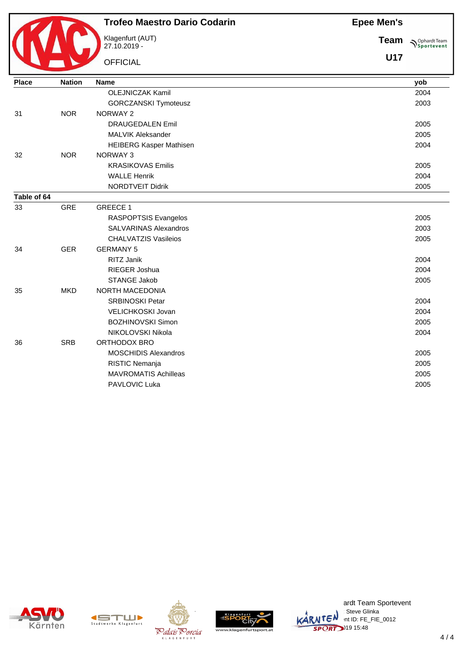

#### **Trofeo Maestro Dario Codarin**

Klagenfurt (AUT) 27.10.2019 -

**OFFICIAL** 

**Team Sportevent** 

**U17**

| <b>Place</b> | <b>Nation</b> | <b>Name</b>                    | yob  |
|--------------|---------------|--------------------------------|------|
|              |               | <b>OLEJNICZAK Kamil</b>        | 2004 |
|              |               | <b>GORCZANSKI Tymoteusz</b>    | 2003 |
| 31           | <b>NOR</b>    | NORWAY 2                       |      |
|              |               | <b>DRAUGEDALEN Emil</b>        | 2005 |
|              |               | <b>MALVIK Aleksander</b>       | 2005 |
|              |               | <b>HEIBERG Kasper Mathisen</b> | 2004 |
| 32           | <b>NOR</b>    | <b>NORWAY 3</b>                |      |
|              |               | <b>KRASIKOVAS Emilis</b>       | 2005 |
|              |               | <b>WALLE Henrik</b>            | 2004 |
|              |               | NORDTVEIT Didrik               | 2005 |
| Table of 64  |               |                                |      |
| 33           | <b>GRE</b>    | <b>GREECE 1</b>                |      |
|              |               | RASPOPTSIS Evangelos           | 2005 |
|              |               | <b>SALVARINAS Alexandros</b>   | 2003 |
|              |               | <b>CHALVATZIS Vasileios</b>    | 2005 |
| 34           | <b>GER</b>    | <b>GERMANY 5</b>               |      |
|              |               | RITZ Janik                     | 2004 |
|              |               | RIEGER Joshua                  | 2004 |
|              |               | <b>STANGE Jakob</b>            | 2005 |
| 35           | <b>MKD</b>    | NORTH MACEDONIA                |      |
|              |               | <b>SRBINOSKI Petar</b>         | 2004 |
|              |               | VELICHKOSKI Jovan              | 2004 |
|              |               | <b>BOZHINOVSKI Simon</b>       | 2005 |
|              |               | NIKOLOVSKI Nikola              | 2004 |
| 36           | <b>SRB</b>    | ORTHODOX BRO                   |      |
|              |               | <b>MOSCHIDIS Alexandros</b>    | 2005 |
|              |               | RISTIC Nemanja                 | 2005 |
|              |               | <b>MAVROMATIS Achilleas</b>    | 2005 |
|              |               | PAVLOVIC Luka                  | 2005 |
|              |               |                                |      |











ardt Team Sportevent **License: Steve Glinka**  $\overline{\mathsf{L}}\mathsf{C}^{\mathsf{N}}$  int ID: FE\_FIE\_0012 **SPORT** 19 15:48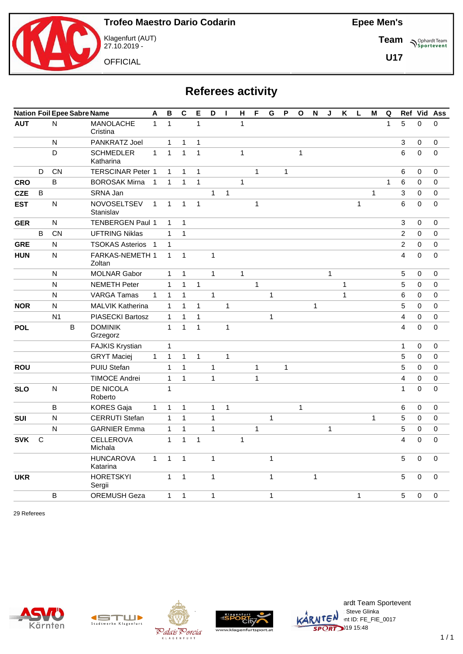

Klagenfurt (AUT) 27.10.2019 -

**OFFICIAL** 

**Epee Men's**

**Team Sportevent** 

**U17**

# **Referees activity**

|            | <b>Nation Foil Epee Sabre Name</b> |                |   | Α                               | $\, {\bf B}$ | $\mathbf C$    | Е            | D              | H            | $\mathsf{H}$ | F            | G            | P            | $\mathbf{o}$ | N            | J            | $\pmb{\mathsf{K}}$ | $\mathsf L$ | M            | $\mathbf Q$  |              |                | Ref Vid Ass |             |
|------------|------------------------------------|----------------|---|---------------------------------|--------------|----------------|--------------|----------------|--------------|--------------|--------------|--------------|--------------|--------------|--------------|--------------|--------------------|-------------|--------------|--------------|--------------|----------------|-------------|-------------|
| <b>AUT</b> |                                    | N              |   | <b>MANOLACHE</b><br>Cristina    | $\mathbf{1}$ | $\overline{1}$ |              | $\overline{1}$ |              |              | $\mathbf{1}$ |              |              |              |              |              |                    |             |              |              | $\mathbf{1}$ | 5              | $\mathbf 0$ | $\mathbf 0$ |
|            |                                    | N              |   | <b>PANKRATZ Joel</b>            |              | $\mathbf{1}$   | 1            | 1              |              |              |              |              |              |              |              |              |                    |             |              |              |              | 3              | 0           | 0           |
|            |                                    | D              |   | <b>SCHMEDLER</b><br>Katharina   | $\mathbf{1}$ | $\mathbf{1}$   | $\mathbf{1}$ | $\mathbf{1}$   |              |              | $\mathbf{1}$ |              |              |              | $\mathbf{1}$ |              |                    |             |              |              |              | 6              | $\mathbf 0$ | $\mathbf 0$ |
|            | D                                  | CN             |   | <b>TERSCINAR Peter 1</b>        |              | $\mathbf{1}$   | $\mathbf{1}$ | $\mathbf{1}$   |              |              |              | $\mathbf{1}$ |              | $\mathbf{1}$ |              |              |                    |             |              |              |              | 6              | $\Omega$    | 0           |
| <b>CRO</b> |                                    | B              |   | <b>BOROSAK Mirna</b>            | $\mathbf{1}$ | $\mathbf{1}$   | $\mathbf{1}$ | $\mathbf{1}$   |              |              | $\mathbf{1}$ |              |              |              |              |              |                    |             |              |              | $\mathbf{1}$ | 6              | 0           | $\pmb{0}$   |
| <b>CZE</b> | B                                  |                |   | SRNA Jan                        |              |                |              |                | $\mathbf{1}$ | $\mathbf{1}$ |              |              |              |              |              |              |                    |             |              | $\mathbf{1}$ |              | 3              | $\mathbf 0$ | $\pmb{0}$   |
| <b>EST</b> |                                    | ${\sf N}$      |   | <b>NOVOSELTSEV</b><br>Stanislav | $\mathbf{1}$ | $\mathbf{1}$   | $\mathbf{1}$ | $\mathbf{1}$   |              |              |              | $\mathbf{1}$ |              |              |              |              |                    |             | $\mathbf{1}$ |              |              | 6              | $\mathbf 0$ | $\pmb{0}$   |
| <b>GER</b> |                                    | N              |   | <b>TENBERGEN Paul 1</b>         |              | $\mathbf{1}$   | $\mathbf{1}$ |                |              |              |              |              |              |              |              |              |                    |             |              |              |              | 3              | $\Omega$    | $\pmb{0}$   |
|            | B                                  | CN             |   | <b>UFTRING Niklas</b>           |              | $\mathbf{1}$   | $\mathbf{1}$ |                |              |              |              |              |              |              |              |              |                    |             |              |              |              | $\overline{c}$ | $\mathbf 0$ | $\pmb{0}$   |
| <b>GRE</b> |                                    | N              |   | <b>TSOKAS Asterios</b> 1        |              | $\mathbf{1}$   |              |                |              |              |              |              |              |              |              |              |                    |             |              |              |              | $\overline{c}$ | 0           | $\pmb{0}$   |
| <b>HUN</b> |                                    | ${\sf N}$      |   | FARKAS-NEMETH 1<br>Zoltan       |              | $\mathbf{1}$   | $\mathbf{1}$ |                | $\mathbf{1}$ |              |              |              |              |              |              |              |                    |             |              |              |              | $\overline{4}$ | $\mathbf 0$ | $\mathbf 0$ |
|            |                                    | N              |   | <b>MOLNAR Gabor</b>             |              | $\mathbf{1}$   | $\mathbf{1}$ |                | $\mathbf{1}$ |              | $\mathbf{1}$ |              |              |              |              |              | $\mathbf{1}$       |             |              |              |              | 5              | 0           | 0           |
|            |                                    | N              |   | <b>NEMETH Peter</b>             |              | $\mathbf{1}$   | $\mathbf{1}$ | $\mathbf{1}$   |              |              |              | $\mathbf{1}$ |              |              |              |              |                    | 1           |              |              |              | 5              | 0           | $\pmb{0}$   |
|            |                                    | N              |   | <b>VARGA Tamas</b>              | $\mathbf{1}$ | $\mathbf{1}$   | $\mathbf{1}$ |                | $\mathbf{1}$ |              |              |              | $\mathbf{1}$ |              |              |              |                    | 1           |              |              |              | 6              | 0           | $\mathbf 0$ |
| <b>NOR</b> |                                    | N              |   | <b>MALVIK Katherina</b>         |              | $\mathbf{1}$   | $\mathbf{1}$ | $\mathbf{1}$   |              | $\mathbf{1}$ |              |              |              |              |              | $\mathbf{1}$ |                    |             |              |              |              | 5              | 0           | $\mathbf 0$ |
|            |                                    | N <sub>1</sub> |   | PIASECKI Bartosz                |              | $\mathbf{1}$   | $\mathbf{1}$ | $\mathbf{1}$   |              |              |              |              | $\mathbf{1}$ |              |              |              |                    |             |              |              |              | $\overline{4}$ | $\mathbf 0$ | $\mathbf 0$ |
| <b>POL</b> |                                    |                | B | <b>DOMINIK</b><br>Grzegorz      |              | $\mathbf{1}$   | $\mathbf{1}$ | $\mathbf{1}$   |              | $\mathbf{1}$ |              |              |              |              |              |              |                    |             |              |              |              | $\overline{4}$ | $\Omega$    | $\mathbf 0$ |
|            |                                    |                |   | <b>FAJKIS Krystian</b>          |              | 1              |              |                |              |              |              |              |              |              |              |              |                    |             |              |              |              | 1              | 0           | 0           |
|            |                                    |                |   | <b>GRYT Maciej</b>              | $\mathbf{1}$ | $\mathbf{1}$   | 1            | $\mathbf{1}$   |              | $\mathbf{1}$ |              |              |              |              |              |              |                    |             |              |              |              | 5              | 0           | 0           |
| <b>ROU</b> |                                    |                |   | <b>PUIU Stefan</b>              |              | $\mathbf{1}$   | $\mathbf{1}$ |                | $\mathbf{1}$ |              |              | $\mathbf{1}$ |              | $\mathbf{1}$ |              |              |                    |             |              |              |              | 5              | 0           | 0           |
|            |                                    |                |   | <b>TIMOCE Andrei</b>            |              | $\mathbf{1}$   | $\mathbf{1}$ |                | $\mathbf{1}$ |              |              | 1            |              |              |              |              |                    |             |              |              |              | $\overline{4}$ | 0           | $\mathbf 0$ |
| <b>SLO</b> |                                    | $\mathsf{N}$   |   | DE NICOLA<br>Roberto            |              | $\mathbf{1}$   |              |                |              |              |              |              |              |              |              |              |                    |             |              |              |              | $\mathbf{1}$   | $\mathbf 0$ | $\mathbf 0$ |
|            |                                    | B              |   | <b>KORES Gaja</b>               | $\mathbf{1}$ | 1              | $\mathbf{1}$ |                | $\mathbf{1}$ | $\mathbf{1}$ |              |              |              |              | $\mathbf{1}$ |              |                    |             |              |              |              | 6              | 0           | 0           |
| SUI        |                                    | N              |   | <b>CERRUTI Stefan</b>           |              | $\mathbf{1}$   | $\mathbf{1}$ |                | $\mathbf{1}$ |              |              |              | $\mathbf{1}$ |              |              |              |                    |             |              | $\mathbf{1}$ |              | 5              | $\mathbf 0$ | $\mathbf 0$ |
|            |                                    | N              |   | <b>GARNIER Emma</b>             |              | 1              | $\mathbf{1}$ |                | $\mathbf{1}$ |              |              | $\mathbf{1}$ |              |              |              |              | $\mathbf{1}$       |             |              |              |              | 5              | 0           | 0           |
| <b>SVK</b> | $\mathsf{C}$                       |                |   | <b>CELLEROVA</b><br>Michala     |              | $\mathbf{1}$   | $\mathbf{1}$ | $\mathbf{1}$   |              |              | $\mathbf{1}$ |              |              |              |              |              |                    |             |              |              |              | $\overline{4}$ | $\Omega$    | $\mathbf 0$ |
|            |                                    |                |   | <b>HUNCAROVA</b><br>Katarina    | $\mathbf{1}$ | $\mathbf{1}$   | $\mathbf{1}$ |                | $\mathbf{1}$ |              |              |              | $\mathbf{1}$ |              |              |              |                    |             |              |              |              | 5              | $\Omega$    | $\pmb{0}$   |
| <b>UKR</b> |                                    |                |   | <b>HORETSKYI</b><br>Sergii      |              | $\mathbf{1}$   | $\mathbf{1}$ |                | $\mathbf{1}$ |              |              |              | $\mathbf{1}$ |              |              | 1            |                    |             |              |              |              | 5              | $\mathbf 0$ | $\pmb{0}$   |
|            |                                    | B              |   | <b>OREMUSH Geza</b>             |              | $\mathbf{1}$   | $\mathbf{1}$ |                | $\mathbf{1}$ |              |              |              | $\mathbf{1}$ |              |              |              |                    |             | $\mathbf{1}$ |              |              | 5              | $\mathbf 0$ | $\mathbf 0$ |

29 Referees